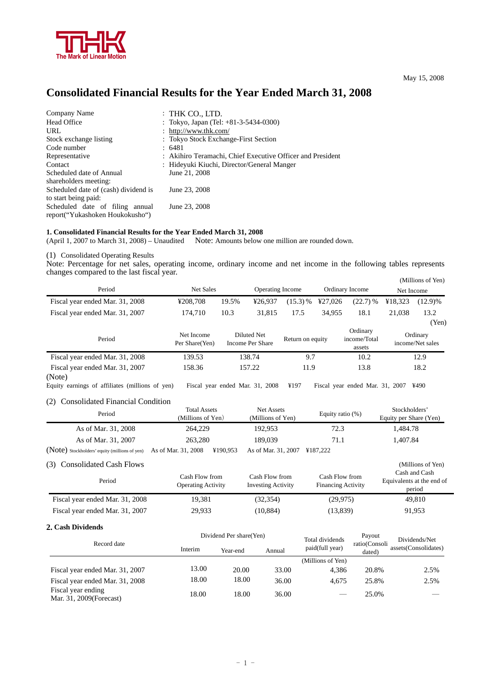

## May 15, 2008

# **Consolidated Financial Results for the Year Ended March 31, 2008**

| Company Name                         | $:$ THK CO., LTD.                                          |
|--------------------------------------|------------------------------------------------------------|
|                                      |                                                            |
| Head Office                          | : Tokyo, Japan (Tel: $+81-3-5434-0300$ )                   |
| URL                                  | : http://www.thk.com/                                      |
| Stock exchange listing               | : Tokyo Stock Exchange-First Section                       |
| Code number                          | : 6481                                                     |
| Representative                       | : Akihiro Teramachi, Chief Executive Officer and President |
| Contact                              | : Hideyuki Kiuchi, Director/General Manger                 |
| Scheduled date of Annual             | June 21, 2008                                              |
| shareholders meeting:                |                                                            |
| Scheduled date of (cash) dividend is | June 23, 2008                                              |
| to start being paid:                 |                                                            |
| Scheduled date of filing annual      | June 23, 2008                                              |
| report("Yukashoken Houkokusho")      |                                                            |

## **1. Consolidated Financial Results for the Year Ended March 31, 2008**

(April 1, 2007 to March 31, 2008) – Unaudited Note: Amounts below one million are rounded down.

(1) Consolidated Operating Results

Note: Percentage for net sales, operating income, ordinary income and net income in the following tables represents changes compared to the last fiscal year.

|                                           |                              |                                 |                         |                  |         |                                    |            | $\frac{1}{1}$                |
|-------------------------------------------|------------------------------|---------------------------------|-------------------------|------------------|---------|------------------------------------|------------|------------------------------|
| Period                                    | Net Sales                    |                                 | <b>Operating Income</b> |                  |         | Ordinary Income                    | Net Income |                              |
| Fiscal year ended Mar. 31, 2008           | ¥208,708                     | 19.5%                           | ¥26.937                 | (15.3) %         | ¥27,026 | $(22.7)$ %                         | ¥18,323    | $(12.9)\%$                   |
| Fiscal year ended Mar. 31, 2007           | 174.710                      | 10.3                            | 31,815                  | 17.5             | 34.955  | 18.1                               | 21,038     | 13.2                         |
|                                           |                              |                                 |                         |                  |         |                                    |            | (Yen)                        |
| Period                                    | Net Income<br>Per Share(Yen) | Diluted Net<br>Income Per Share |                         | Return on equity |         | Ordinary<br>income/Total<br>assets |            | Ordinary<br>income/Net sales |
| Fiscal year ended Mar. 31, 2008           | 139.53                       | 138.74                          |                         | 9.7              |         | 10.2                               |            | 12.9                         |
| Fiscal year ended Mar. 31, 2007<br>(Note) | 158.36                       |                                 | 157.22                  |                  | 11.9    |                                    |            | 18.2                         |

Equity earnings of affiliates (millions of yen) Fiscal year ended Mar. 31, 2008 ¥197 Fiscal year ended Mar. 31, 2007 ¥490

#### (2) Consolidated Financial Condition

| <b>Total Assets</b><br>Period<br>(Millions of Yen) |                     | Net Assets<br>(Millions of Yen)          | Equity ratio $(\%)$ | Stockholders'<br>Equity per Share (Yen) |
|----------------------------------------------------|---------------------|------------------------------------------|---------------------|-----------------------------------------|
| As of Mar. 31, 2008                                | 264,229             | 192,953                                  | 72.3                | 1.484.78                                |
| As of Mar. 31, 2007                                | 263,280             | 189.039                                  | 71.1                | 1.407.84                                |
| (Note) Stockholders' equity (millions of yen)      | As of Mar. 31, 2008 | ¥190.953<br>As of Mar. 31, 2007 ¥187,222 |                     |                                         |

#### (3) Consolidated Cash Flows (Millions of Yen)

| Period                          | Cash Flow from<br><b>Operating Activity</b> | Cash Flow from<br><b>Investing Activity</b> | Cash Flow from<br><b>Financing Activity</b> | Cash and Cash<br>Equivalents at the end of<br>period |
|---------------------------------|---------------------------------------------|---------------------------------------------|---------------------------------------------|------------------------------------------------------|
| Fiscal year ended Mar. 31, 2008 | 19.381                                      | (32, 354)                                   | (29.975)                                    | 49.810                                               |
| Fiscal year ended Mar. 31, 2007 | 29,933                                      | (10, 884)                                   | (13,839)                                    | 91,953                                               |

## **2. Cash Dividends**

|                                                |                     | Dividend Per share (Yen) |        | Total dividends   | Payout                  | Dividends/Net        |  |
|------------------------------------------------|---------------------|--------------------------|--------|-------------------|-------------------------|----------------------|--|
| Record date                                    | Interim<br>Year-end |                          | Annual | paid(full year)   | ratio(Consoli<br>dated) | assets(Consolidates) |  |
|                                                |                     |                          |        | (Millions of Yen) |                         |                      |  |
| Fiscal year ended Mar. 31, 2007                | 13.00               | 20.00                    | 33.00  | 4.386             | 20.8%                   | 2.5%                 |  |
| Fiscal year ended Mar. 31, 2008                | 18.00               | 18.00                    | 36.00  | 4.675             | 25.8%                   | 2.5%                 |  |
| Fiscal year ending<br>Mar. 31, 2009 (Forecast) | 18.00               | 18.00                    | 36.00  |                   | 25.0%                   |                      |  |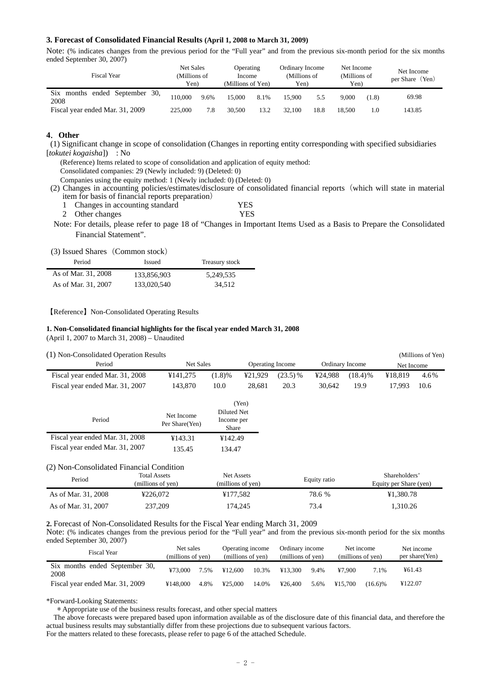#### **3. Forecast of Consolidated Financial Results (April 1, 2008 to March 31, 2009)**

Note: (% indicates changes from the previous period for the "Full year" and from the previous six-month period for the six months ended September 30, 2007)

| <b>Fiscal Year</b>                                 | <b>Net Sales</b><br>(Millions of<br>Yen) |      | <b>Operating</b><br>Income<br>(Millions of Yen) |      | Ordinary Income<br>(Millions of<br>Yen) |      | Net Income<br>(Millions of<br>Yen) |       | Net Income<br>$(Y_{en})$<br>per Share |
|----------------------------------------------------|------------------------------------------|------|-------------------------------------------------|------|-----------------------------------------|------|------------------------------------|-------|---------------------------------------|
| Six<br>ended<br>September<br>30.<br>months<br>2008 | 110.000                                  | 9.6% | 15.000                                          | 8.1% | 15.900                                  | 5.5  | 9.000                              | (1.8) | 69.98                                 |
| Fiscal year ended Mar. 31, 2009                    | 225,000                                  | 7.8  | 30,500                                          | 13.2 | 32,100                                  | 18.8 | 18.500                             | 1.0   | 143.85                                |

# **4**.**Other**

(1) Significant change in scope of consolidation (Changes in reporting entity corresponding with specified subsidiaries [*tokutei kogaisha*]) : No

(Reference) Items related to scope of consolidation and application of equity method:

Consolidated companies: 29 (Newly included: 9) (Deleted: 0)

Companies using the equity method: 1 (Newly included: 0) (Deleted: 0)

(2) Changes in accounting policies/estimates/disclosure of consolidated financial reports(which will state in material item for basis of financial reports preparation)

| 1 Changes in accounting standard | YES  |
|----------------------------------|------|
| 2 Other changes                  | YES. |

Note: For details, please refer to page 18 of "Changes in Important Items Used as a Basis to Prepare the Consolidated Financial Statement".

|  | (3) Issued Shares (Common stock) |
|--|----------------------------------|
|--|----------------------------------|

| Period              | <b>Issued</b> | Treasury stock |
|---------------------|---------------|----------------|
| As of Mar. 31, 2008 | 133,856,903   | 5.249.535      |
| As of Mar. 31, 2007 | 133,020,540   | 34.512         |

【Reference】Non-Consolidated Operating Results

#### **1. Non-Consolidated financial highlights for the fiscal year ended March 31, 2008**

(April 1, 2007 to March 31, 2008) – Unaudited

(1) Non-Consolidated Operation Results (Millions of Yen)

| $(1)$ ron consolidated operation results |                                      |                                    |                         |                         |              |                        |                                                             | $(1, 1, 1, 1, 1, 0, 1, 0, 1, 0, 1, 0, 1, 0, 1, 0, 1, 0, 1, 0, 1, 0, 1, 0, 1, 0, 1, 0, 1, 0, 1, 0, 1, 0, 1, 0, 1, 0, 1, 0, 1, 0, 1, 0, 1, 0, 1, 0, 1, 0, 1, 0, 1, 0, 1, 0, 1, 0, 1, 0, 1, 0, 1, 0, 1, 0, 1, 0, 1, 0, 1, 0, 1, $ |
|------------------------------------------|--------------------------------------|------------------------------------|-------------------------|-------------------------|--------------|------------------------|-------------------------------------------------------------|--------------------------------------------------------------------------------------------------------------------------------------------------------------------------------------------------------------------------------|
| Period                                   | <b>Net Sales</b>                     |                                    |                         | <b>Operating Income</b> |              | <b>Ordinary Income</b> | Net Income                                                  |                                                                                                                                                                                                                                |
| Fiscal year ended Mar. 31, 2008          | ¥141,275                             | $(1.8)\%$                          | ¥21,929                 | $(23.5)$ %              | ¥24.988      | $(18.4)$ %             | ¥18.819                                                     | 4.6%                                                                                                                                                                                                                           |
| Fiscal year ended Mar. 31, 2007          | 143,870                              | 10.0                               | 28,681                  | 20.3                    | 30.642       | 19.9                   | 17.993                                                      | 10.6                                                                                                                                                                                                                           |
|                                          |                                      |                                    | (Yen)                   |                         |              |                        |                                                             |                                                                                                                                                                                                                                |
| Period                                   | Net Income<br>Per Share(Yen)         | Diluted Net<br>Income per<br>Share |                         |                         |              |                        |                                                             |                                                                                                                                                                                                                                |
| Fiscal year ended Mar. 31, 2008          | ¥143.31                              | ¥142.49                            |                         |                         |              |                        |                                                             |                                                                                                                                                                                                                                |
| Fiscal year ended Mar. 31, 2007          | 135.45                               | 134.47                             |                         |                         |              |                        |                                                             |                                                                                                                                                                                                                                |
| (2) Non-Consolidated Financial Condition |                                      |                                    |                         |                         |              |                        |                                                             |                                                                                                                                                                                                                                |
| Period<br>$\sim$ $\sim$ $\sim$           | <b>Total Assets</b><br>$\sim$ $\sim$ | Net Assets                         | $\lambda$ and $\lambda$ |                         | Equity ratio |                        | Shareholders'<br>$\mathbf{r}$ . $\mathbf{r}$ . $\mathbf{r}$ |                                                                                                                                                                                                                                |

| Period              | <b>Total Assets</b> | Net Assets        | Equity ratio | Shareholders'          |  |  |
|---------------------|---------------------|-------------------|--------------|------------------------|--|--|
|                     | (millions of yen)   | (millions of yen) |              | Equity per Share (yen) |  |  |
| As of Mar. 31, 2008 | ¥226.072            | ¥177.582          | 78.6 %       | ¥1.380.78              |  |  |
| As of Mar. 31, 2007 | 237,209             | 174.245           | 73.4         | 1.310.26               |  |  |

**2.** Forecast of Non-Consolidated Results for the Fiscal Year ending March 31, 2009

Note: (% indicates changes from the previous period for the "Full year" and from the previous six-month period for the six months ended September 30, 2007)

| <b>Fiscal Year</b>                     | Net sales<br>(millions of yen) |      | Operating income<br>(millions of yen) |       | Ordinary income<br>(millions of yen) |      | Net income<br>(millions of yen) |         | Net income<br>per share (Yen) |  |
|----------------------------------------|--------------------------------|------|---------------------------------------|-------|--------------------------------------|------|---------------------------------|---------|-------------------------------|--|
| Six months ended September 30,<br>2008 | ¥73.000                        | 7.5% | ¥12.600                               | 10.3% | ¥13.300                              | 9.4% | ¥7.900                          | 7.1%    | ¥61.43                        |  |
| Fiscal year ended Mar. 31, 2009        | ¥148,000                       | 4.8% | 425.000                               | 14.0% | 426.400                              | 5.6% | ¥15.700                         | (16.6)% | ¥122.07                       |  |

\*Forward-Looking Statements:

\* Appropriate use of the business results forecast, and other special matters

The above forecasts were prepared based upon information available as of the disclosure date of this financial data, and therefore the actual business results may substantially differ from these projections due to subsequent various factors.

For the matters related to these forecasts, please refer to page 6 of the attached Schedule.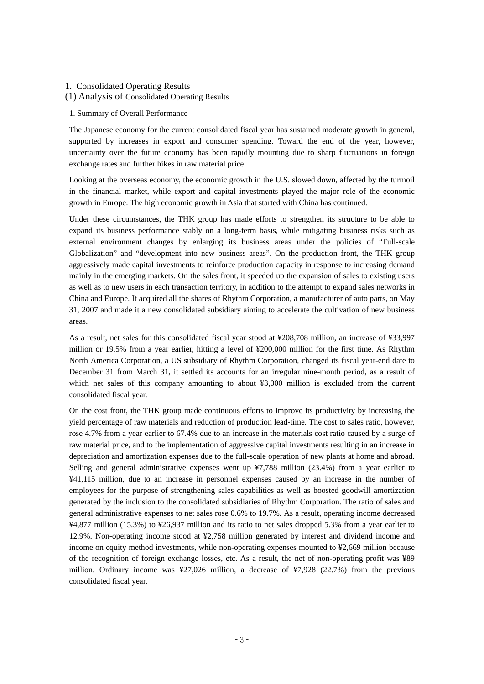# 1. Consolidated Operating Results

#### (1) Analysis of Consolidated Operating Results

#### 1. Summary of Overall Performance

The Japanese economy for the current consolidated fiscal year has sustained moderate growth in general, supported by increases in export and consumer spending. Toward the end of the year, however, uncertainty over the future economy has been rapidly mounting due to sharp fluctuations in foreign exchange rates and further hikes in raw material price.

Looking at the overseas economy, the economic growth in the U.S. slowed down, affected by the turmoil in the financial market, while export and capital investments played the major role of the economic growth in Europe. The high economic growth in Asia that started with China has continued.

Under these circumstances, the THK group has made efforts to strengthen its structure to be able to expand its business performance stably on a long-term basis, while mitigating business risks such as external environment changes by enlarging its business areas under the policies of "Full-scale Globalization" and "development into new business areas". On the production front, the THK group aggressively made capital investments to reinforce production capacity in response to increasing demand mainly in the emerging markets. On the sales front, it speeded up the expansion of sales to existing users as well as to new users in each transaction territory, in addition to the attempt to expand sales networks in China and Europe. It acquired all the shares of Rhythm Corporation, a manufacturer of auto parts, on May 31, 2007 and made it a new consolidated subsidiary aiming to accelerate the cultivation of new business areas.

As a result, net sales for this consolidated fiscal year stood at ¥208,708 million, an increase of ¥33,997 million or 19.5% from a year earlier, hitting a level of ¥200,000 million for the first time. As Rhythm North America Corporation, a US subsidiary of Rhythm Corporation, changed its fiscal year-end date to December 31 from March 31, it settled its accounts for an irregular nine-month period, as a result of which net sales of this company amounting to about ¥3,000 million is excluded from the current consolidated fiscal year.

On the cost front, the THK group made continuous efforts to improve its productivity by increasing the yield percentage of raw materials and reduction of production lead-time. The cost to sales ratio, however, rose 4.7% from a year earlier to 67.4% due to an increase in the materials cost ratio caused by a surge of raw material price, and to the implementation of aggressive capital investments resulting in an increase in depreciation and amortization expenses due to the full-scale operation of new plants at home and abroad. Selling and general administrative expenses went up ¥7,788 million (23.4%) from a year earlier to ¥41,115 million, due to an increase in personnel expenses caused by an increase in the number of employees for the purpose of strengthening sales capabilities as well as boosted goodwill amortization generated by the inclusion to the consolidated subsidiaries of Rhythm Corporation. The ratio of sales and general administrative expenses to net sales rose 0.6% to 19.7%. As a result, operating income decreased ¥4,877 million (15.3%) to ¥26,937 million and its ratio to net sales dropped 5.3% from a year earlier to 12.9%. Non-operating income stood at ¥2,758 million generated by interest and dividend income and income on equity method investments, while non-operating expenses mounted to ¥2,669 million because of the recognition of foreign exchange losses, etc. As a result, the net of non-operating profit was ¥89 million. Ordinary income was ¥27,026 million, a decrease of ¥7,928 (22.7%) from the previous consolidated fiscal year.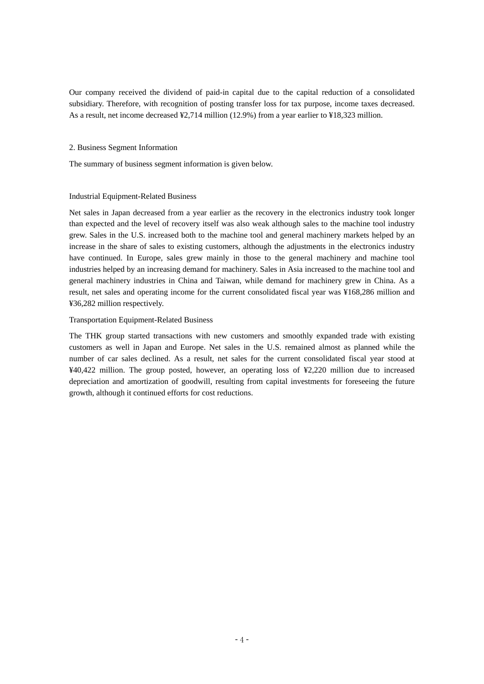Our company received the dividend of paid-in capital due to the capital reduction of a consolidated subsidiary. Therefore, with recognition of posting transfer loss for tax purpose, income taxes decreased. As a result, net income decreased ¥2,714 million (12.9%) from a year earlier to ¥18,323 million.

## 2. Business Segment Information

The summary of business segment information is given below.

# Industrial Equipment-Related Business

Net sales in Japan decreased from a year earlier as the recovery in the electronics industry took longer than expected and the level of recovery itself was also weak although sales to the machine tool industry grew. Sales in the U.S. increased both to the machine tool and general machinery markets helped by an increase in the share of sales to existing customers, although the adjustments in the electronics industry have continued. In Europe, sales grew mainly in those to the general machinery and machine tool industries helped by an increasing demand for machinery. Sales in Asia increased to the machine tool and general machinery industries in China and Taiwan, while demand for machinery grew in China. As a result, net sales and operating income for the current consolidated fiscal year was ¥168,286 million and ¥36,282 million respectively.

## Transportation Equipment-Related Business

The THK group started transactions with new customers and smoothly expanded trade with existing customers as well in Japan and Europe. Net sales in the U.S. remained almost as planned while the number of car sales declined. As a result, net sales for the current consolidated fiscal year stood at ¥40,422 million. The group posted, however, an operating loss of ¥2,220 million due to increased depreciation and amortization of goodwill, resulting from capital investments for foreseeing the future growth, although it continued efforts for cost reductions.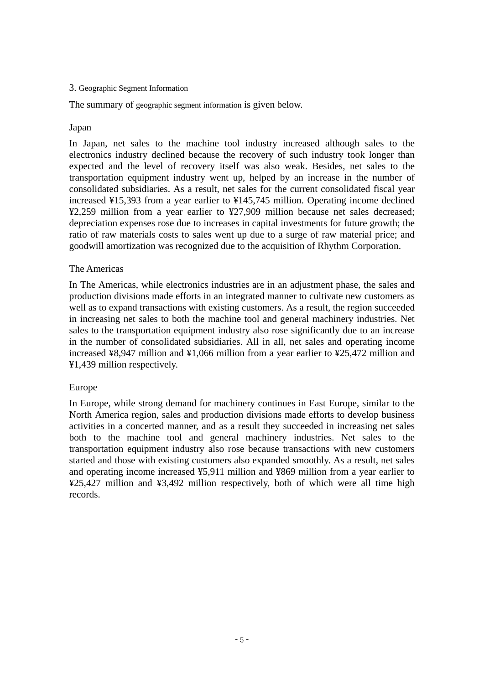# 3. Geographic Segment Information

The summary of geographic segment information is given below.

# Japan

In Japan, net sales to the machine tool industry increased although sales to the electronics industry declined because the recovery of such industry took longer than expected and the level of recovery itself was also weak. Besides, net sales to the transportation equipment industry went up, helped by an increase in the number of consolidated subsidiaries. As a result, net sales for the current consolidated fiscal year increased ¥15,393 from a year earlier to ¥145,745 million. Operating income declined ¥2,259 million from a year earlier to ¥27,909 million because net sales decreased; depreciation expenses rose due to increases in capital investments for future growth; the ratio of raw materials costs to sales went up due to a surge of raw material price; and goodwill amortization was recognized due to the acquisition of Rhythm Corporation.

# The Americas

In The Americas, while electronics industries are in an adjustment phase, the sales and production divisions made efforts in an integrated manner to cultivate new customers as well as to expand transactions with existing customers. As a result, the region succeeded in increasing net sales to both the machine tool and general machinery industries. Net sales to the transportation equipment industry also rose significantly due to an increase in the number of consolidated subsidiaries. All in all, net sales and operating income increased ¥8,947 million and ¥1,066 million from a year earlier to ¥25,472 million and ¥1,439 million respectively.

# Europe

In Europe, while strong demand for machinery continues in East Europe, similar to the North America region, sales and production divisions made efforts to develop business activities in a concerted manner, and as a result they succeeded in increasing net sales both to the machine tool and general machinery industries. Net sales to the transportation equipment industry also rose because transactions with new customers started and those with existing customers also expanded smoothly. As a result, net sales and operating income increased ¥5,911 million and ¥869 million from a year earlier to ¥25,427 million and ¥3,492 million respectively, both of which were all time high records.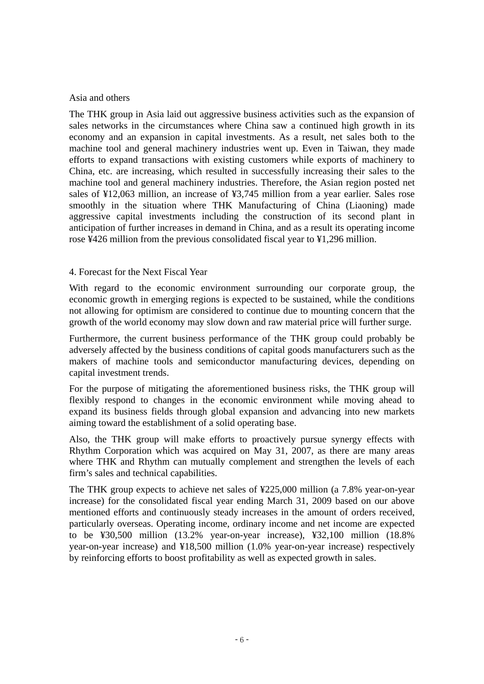# Asia and others

The THK group in Asia laid out aggressive business activities such as the expansion of sales networks in the circumstances where China saw a continued high growth in its economy and an expansion in capital investments. As a result, net sales both to the machine tool and general machinery industries went up. Even in Taiwan, they made efforts to expand transactions with existing customers while exports of machinery to China, etc. are increasing, which resulted in successfully increasing their sales to the machine tool and general machinery industries. Therefore, the Asian region posted net sales of ¥12,063 million, an increase of ¥3,745 million from a year earlier. Sales rose smoothly in the situation where THK Manufacturing of China (Liaoning) made aggressive capital investments including the construction of its second plant in anticipation of further increases in demand in China, and as a result its operating income rose ¥426 million from the previous consolidated fiscal year to ¥1,296 million.

# 4. Forecast for the Next Fiscal Year

With regard to the economic environment surrounding our corporate group, the economic growth in emerging regions is expected to be sustained, while the conditions not allowing for optimism are considered to continue due to mounting concern that the growth of the world economy may slow down and raw material price will further surge.

Furthermore, the current business performance of the THK group could probably be adversely affected by the business conditions of capital goods manufacturers such as the makers of machine tools and semiconductor manufacturing devices, depending on capital investment trends.

For the purpose of mitigating the aforementioned business risks, the THK group will flexibly respond to changes in the economic environment while moving ahead to expand its business fields through global expansion and advancing into new markets aiming toward the establishment of a solid operating base.

Also, the THK group will make efforts to proactively pursue synergy effects with Rhythm Corporation which was acquired on May 31, 2007, as there are many areas where THK and Rhythm can mutually complement and strengthen the levels of each firm's sales and technical capabilities.

The THK group expects to achieve net sales of ¥225,000 million (a 7.8% year-on-year increase) for the consolidated fiscal year ending March 31, 2009 based on our above mentioned efforts and continuously steady increases in the amount of orders received, particularly overseas. Operating income, ordinary income and net income are expected to be ¥30,500 million (13.2% year-on-year increase), ¥32,100 million (18.8% year-on-year increase) and ¥18,500 million (1.0% year-on-year increase) respectively by reinforcing efforts to boost profitability as well as expected growth in sales.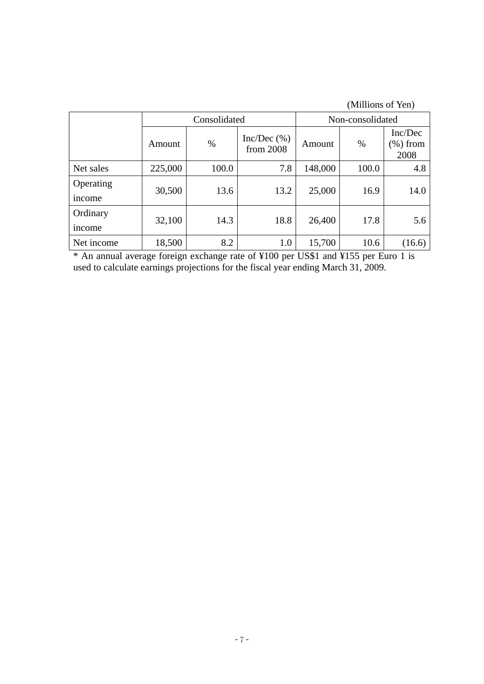| (Millions of Yen) |  |  |
|-------------------|--|--|
|-------------------|--|--|

|                     |         | Consolidated |                         | Non-consolidated |       |                                |
|---------------------|---------|--------------|-------------------------|------------------|-------|--------------------------------|
|                     | Amount  | $\%$         | Inc/Dec(%)<br>from 2008 | Amount           | $\%$  | Inc/Dec<br>$(\%)$ from<br>2008 |
| Net sales           | 225,000 | 100.0        | 7.8                     | 148,000          | 100.0 | 4.8                            |
| Operating<br>income | 30,500  | 13.6         | 13.2                    | 25,000           | 16.9  | 14.0                           |
| Ordinary<br>income  | 32,100  | 14.3         | 18.8                    | 26,400           | 17.8  | 5.6                            |
| Net income          | 18,500  | 8.2          | 1.0                     | 15,700           | 10.6  | (16.6)                         |

\* An annual average foreign exchange rate of ¥100 per US\$1 and ¥155 per Euro 1 is used to calculate earnings projections for the fiscal year ending March 31, 2009.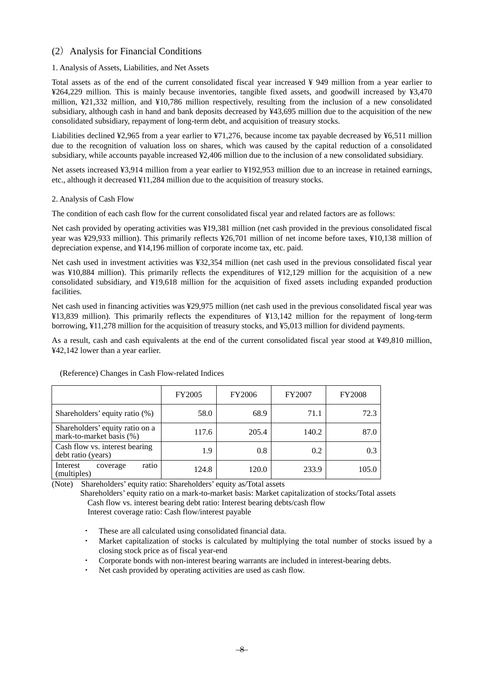# (2) Analysis for Financial Conditions

# 1. Analysis of Assets, Liabilities, and Net Assets

Total assets as of the end of the current consolidated fiscal year increased ¥ 949 million from a year earlier to ¥264,229 million. This is mainly because inventories, tangible fixed assets, and goodwill increased by ¥3,470 million, ¥21,332 million, and ¥10,786 million respectively, resulting from the inclusion of a new consolidated subsidiary, although cash in hand and bank deposits decreased by ¥43,695 million due to the acquisition of the new consolidated subsidiary, repayment of long-term debt, and acquisition of treasury stocks.

Liabilities declined ¥2,965 from a year earlier to ¥71,276, because income tax payable decreased by ¥6,511 million due to the recognition of valuation loss on shares, which was caused by the capital reduction of a consolidated subsidiary, while accounts payable increased ¥2,406 million due to the inclusion of a new consolidated subsidiary.

Net assets increased ¥3,914 million from a year earlier to ¥192,953 million due to an increase in retained earnings, etc., although it decreased ¥11,284 million due to the acquisition of treasury stocks.

# 2. Analysis of Cash Flow

The condition of each cash flow for the current consolidated fiscal year and related factors are as follows:

Net cash provided by operating activities was ¥19,381 million (net cash provided in the previous consolidated fiscal year was ¥29,933 million). This primarily reflects ¥26,701 million of net income before taxes, ¥10,138 million of depreciation expense, and ¥14,196 million of corporate income tax, etc. paid.

Net cash used in investment activities was ¥32,354 million (net cash used in the previous consolidated fiscal year was ¥10,884 million). This primarily reflects the expenditures of ¥12,129 million for the acquisition of a new consolidated subsidiary, and ¥19,618 million for the acquisition of fixed assets including expanded production facilities.

Net cash used in financing activities was ¥29,975 million (net cash used in the previous consolidated fiscal year was ¥13,839 million). This primarily reflects the expenditures of ¥13,142 million for the repayment of long-term borrowing, ¥11,278 million for the acquisition of treasury stocks, and ¥5,013 million for dividend payments.

As a result, cash and cash equivalents at the end of the current consolidated fiscal year stood at ¥49,810 million, ¥42,142 lower than a year earlier.

|                                                             | FY2005 | <b>FY2006</b> | <b>FY2007</b> | <b>FY2008</b> |
|-------------------------------------------------------------|--------|---------------|---------------|---------------|
| Shareholders' equity ratio (%)                              | 58.0   | 68.9          | 71.1          | 72.3          |
| Shareholders' equity ratio on a<br>mark-to-market basis (%) | 117.6  | 205.4         | 140.2         | 87.0          |
| Cash flow vs. interest bearing<br>debt ratio (years)        | 1.9    | 0.8           | 0.2           | 0.3           |
| ratio<br>Interest<br>coverage<br>(multiples)                | 124.8  | 120.0         | 233.9         | 105.0         |

(Reference) Changes in Cash Flow-related Indices

(Note) Shareholders' equity ratio: Shareholders' equity as/Total assets

 Shareholders' equity ratio on a mark-to-market basis: Market capitalization of stocks/Total assets Cash flow vs. interest bearing debt ratio: Interest bearing debts/cash flow

Interest coverage ratio: Cash flow/interest payable

- These are all calculated using consolidated financial data.
- Market capitalization of stocks is calculated by multiplying the total number of stocks issued by a closing stock price as of fiscal year-end
- Corporate bonds with non-interest bearing warrants are included in interest-bearing debts.
- Net cash provided by operating activities are used as cash flow.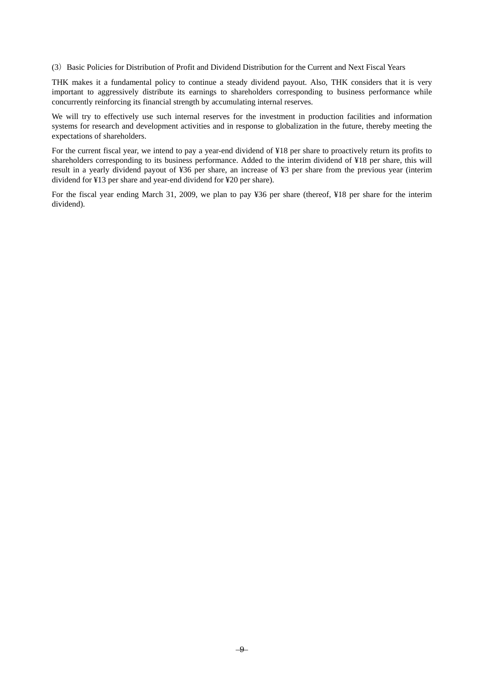(3)Basic Policies for Distribution of Profit and Dividend Distribution for the Current and Next Fiscal Years

THK makes it a fundamental policy to continue a steady dividend payout. Also, THK considers that it is very important to aggressively distribute its earnings to shareholders corresponding to business performance while concurrently reinforcing its financial strength by accumulating internal reserves.

We will try to effectively use such internal reserves for the investment in production facilities and information systems for research and development activities and in response to globalization in the future, thereby meeting the expectations of shareholders.

For the current fiscal year, we intend to pay a year-end dividend of ¥18 per share to proactively return its profits to shareholders corresponding to its business performance. Added to the interim dividend of ¥18 per share, this will result in a yearly dividend payout of ¥36 per share, an increase of ¥3 per share from the previous year (interim dividend for ¥13 per share and year-end dividend for ¥20 per share).

For the fiscal year ending March 31, 2009, we plan to pay ¥36 per share (thereof, ¥18 per share for the interim dividend).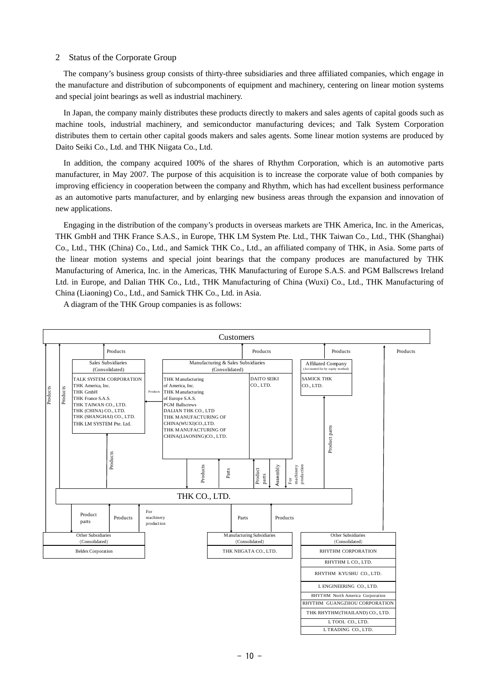## 2 Status of the Corporate Group

The company's business group consists of thirty-three subsidiaries and three affiliated companies, which engage in the manufacture and distribution of subcomponents of equipment and machinery, centering on linear motion systems and special joint bearings as well as industrial machinery.

In Japan, the company mainly distributes these products directly to makers and sales agents of capital goods such as machine tools, industrial machinery, and semiconductor manufacturing devices; and Talk System Corporation distributes them to certain other capital goods makers and sales agents. Some linear motion systems are produced by Daito Seiki Co., Ltd. and THK Niigata Co., Ltd.

In addition, the company acquired 100% of the shares of Rhythm Corporation, which is an automotive parts manufacturer, in May 2007. The purpose of this acquisition is to increase the corporate value of both companies by improving efficiency in cooperation between the company and Rhythm, which has had excellent business performance as an automotive parts manufacturer, and by enlarging new business areas through the expansion and innovation of new applications.

Engaging in the distribution of the company's products in overseas markets are THK America, Inc. in the Americas, THK GmbH and THK France S.A.S., in Europe, THK LM System Pte. Ltd., THK Taiwan Co., Ltd., THK (Shanghai) Co., Ltd., THK (China) Co., Ltd., and Samick THK Co., Ltd., an affiliated company of THK, in Asia. Some parts of the linear motion systems and special joint bearings that the company produces are manufactured by THK Manufacturing of America, Inc. in the Americas, THK Manufacturing of Europe S.A.S. and PGM Ballscrews Ireland Ltd. in Europe, and Dalian THK Co., Ltd., THK Manufacturing of China (Wuxi) Co., Ltd., THK Manufacturing of China (Liaoning) Co., Ltd., and Samick THK Co., Ltd. in Asia.



A diagram of the THK Group companies is as follows: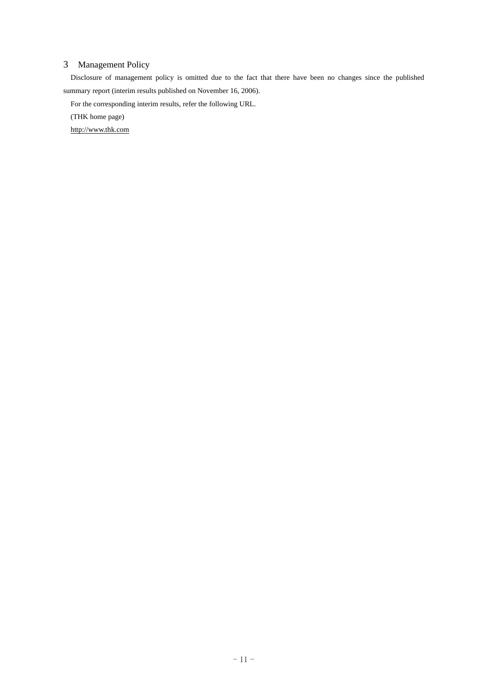# 3 Management Policy

Disclosure of management policy is omitted due to the fact that there have been no changes since the published summary report (interim results published on November 16, 2006).

For the corresponding interim results, refer the following URL.

(THK home page)

http://www.thk.com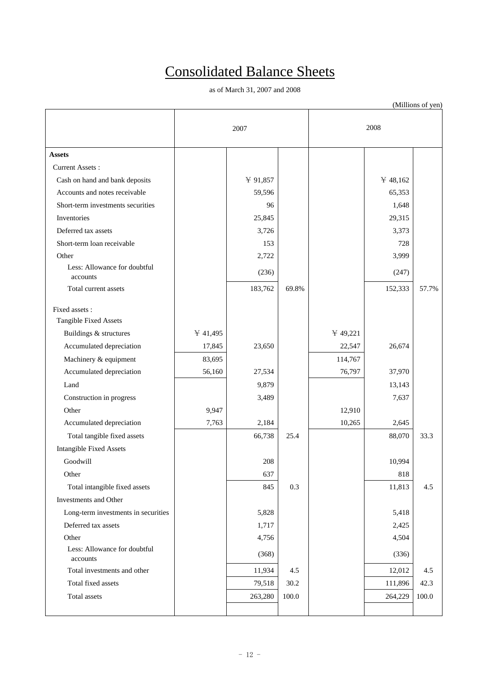# Consolidated Balance Sheets

as of March 31, 2007 and 2008

|                                          | 2007     |          |          | 2008      |                |           |
|------------------------------------------|----------|----------|----------|-----------|----------------|-----------|
| <b>Assets</b>                            |          |          |          |           |                |           |
| <b>Current Assets:</b>                   |          |          |          |           |                |           |
| Cash on hand and bank deposits           |          | ¥ 91,857 |          |           | $\cong$ 48,162 |           |
| Accounts and notes receivable            |          | 59,596   |          |           | 65,353         |           |
| Short-term investments securities        |          | 96       |          |           | 1,648          |           |
| Inventories                              |          | 25,845   |          |           | 29,315         |           |
| Deferred tax assets                      |          | 3,726    |          |           | 3,373          |           |
| Short-term loan receivable               |          | 153      |          |           | 728            |           |
| Other                                    |          | 2,722    |          |           | 3,999          |           |
| Less: Allowance for doubtful<br>accounts |          | (236)    |          |           | (247)          |           |
| Total current assets                     |          | 183,762  | 69.8%    |           | 152,333        | 57.7%     |
| Fixed assets :<br>Tangible Fixed Assets  |          |          |          |           |                |           |
| Buildings & structures                   | ¥ 41,495 |          |          | $*49,221$ |                |           |
| Accumulated depreciation                 | 17,845   | 23,650   |          | 22,547    | 26,674         |           |
| Machinery & equipment                    | 83,695   |          |          | 114,767   |                |           |
| Accumulated depreciation                 | 56,160   | 27,534   |          | 76,797    | 37,970         |           |
| Land                                     |          | 9,879    |          |           | 13,143         |           |
| Construction in progress                 |          | 3,489    |          |           | 7,637          |           |
| Other                                    | 9,947    |          |          | 12,910    |                |           |
| Accumulated depreciation                 | 7,763    | 2,184    |          | 10,265    | 2,645          |           |
| Total tangible fixed assets              |          | 66,738   | 25.4     |           | 88,070         | 33.3      |
| <b>Intangible Fixed Assets</b>           |          |          |          |           |                |           |
| Goodwill                                 |          | 208      |          |           | 10,994         |           |
| Other                                    |          | 637      |          |           | 818            |           |
| Total intangible fixed assets            |          | 845      | 0.3      |           | 11,813         | 4.5       |
| Investments and Other                    |          |          |          |           |                |           |
| Long-term investments in securities      |          | 5,828    |          |           | 5,418          |           |
| Deferred tax assets                      |          | 1,717    |          |           | 2,425          |           |
| Other                                    |          | 4,756    |          |           | 4,504          |           |
| Less: Allowance for doubtful<br>accounts |          | (368)    |          |           | (336)          |           |
| Total investments and other              |          | 11,934   | 4.5      |           | 12,012         | 4.5       |
| Total fixed assets                       |          | 79,518   | $30.2\,$ |           | 111,896        | 42.3      |
| Total assets                             |          | 263,280  | 100.0    |           | 264,229        | $100.0\,$ |
|                                          |          |          |          |           |                |           |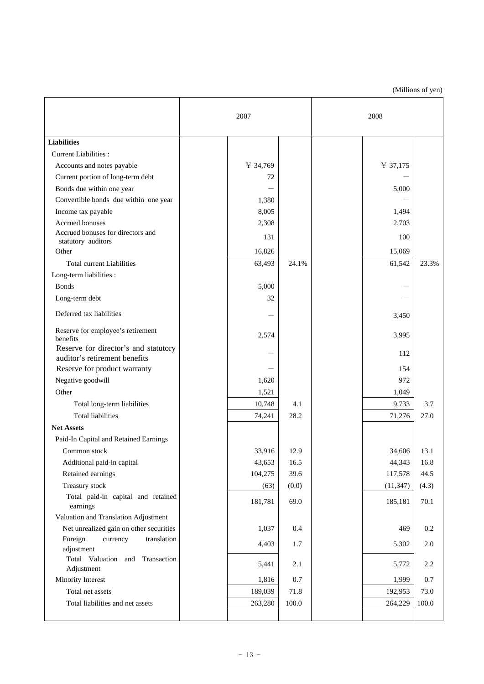|                                                         | 2007     |       | 2008      |         |
|---------------------------------------------------------|----------|-------|-----------|---------|
| <b>Liabilities</b>                                      |          |       |           |         |
| Current Liabilities :                                   |          |       |           |         |
| Accounts and notes payable                              | ¥ 34,769 |       | ¥ 37,175  |         |
| Current portion of long-term debt                       | 72       |       |           |         |
| Bonds due within one year                               |          |       | 5,000     |         |
| Convertible bonds due within one year                   | 1,380    |       |           |         |
| Income tax payable                                      | 8,005    |       | 1,494     |         |
| Accrued bonuses                                         | 2,308    |       | 2,703     |         |
| Accrued bonuses for directors and<br>statutory auditors | 131      |       | 100       |         |
| Other                                                   | 16,826   |       | 15,069    |         |
| <b>Total current Liabilities</b>                        | 63,493   | 24.1% | 61,542    | 23.3%   |
| Long-term liabilities :                                 |          |       |           |         |
| <b>Bonds</b>                                            | 5,000    |       |           |         |
| Long-term debt                                          | 32       |       |           |         |
| Deferred tax liabilities                                |          |       | 3,450     |         |
| Reserve for employee's retirement<br>benefits           | 2,574    |       | 3,995     |         |
| Reserve for director's and statutory                    |          |       | 112       |         |
| auditor's retirement benefits                           |          |       |           |         |
| Reserve for product warranty                            |          |       | 154       |         |
| Negative goodwill                                       | 1,620    |       | 972       |         |
| Other                                                   | 1,521    |       | 1,049     |         |
| Total long-term liabilities                             | 10,748   | 4.1   | 9,733     | 3.7     |
| <b>Total liabilities</b>                                | 74,241   | 28.2  | 71,276    | 27.0    |
| <b>Net Assets</b>                                       |          |       |           |         |
| Paid-In Capital and Retained Earnings                   |          |       |           |         |
| Common stock                                            | 33,916   | 12.9  | 34,606    | 13.1    |
| Additional paid-in capital                              | 43,653   | 16.5  | 44,343    | 16.8    |
| Retained earnings                                       | 104,275  | 39.6  | 117,578   | 44.5    |
| Treasury stock                                          | (63)     | (0.0) | (11, 347) | (4.3)   |
| Total paid-in capital and retained<br>earnings          | 181,781  | 69.0  | 185,181   | 70.1    |
| Valuation and Translation Adjustment                    |          |       |           |         |
| Net unrealized gain on other securities                 | 1,037    | 0.4   | 469       | 0.2     |
| Foreign<br>currency<br>translation<br>adjustment        | 4,403    | 1.7   | 5,302     | $2.0\,$ |
| Total Valuation and Transaction<br>Adjustment           | 5,441    | 2.1   | 5,772     | 2.2     |
| Minority Interest                                       | 1,816    | 0.7   | 1,999     | 0.7     |
| Total net assets                                        | 189,039  | 71.8  | 192,953   | 73.0    |
| Total liabilities and net assets                        | 263,280  | 100.0 | 264,229   | 100.0   |
|                                                         |          |       |           |         |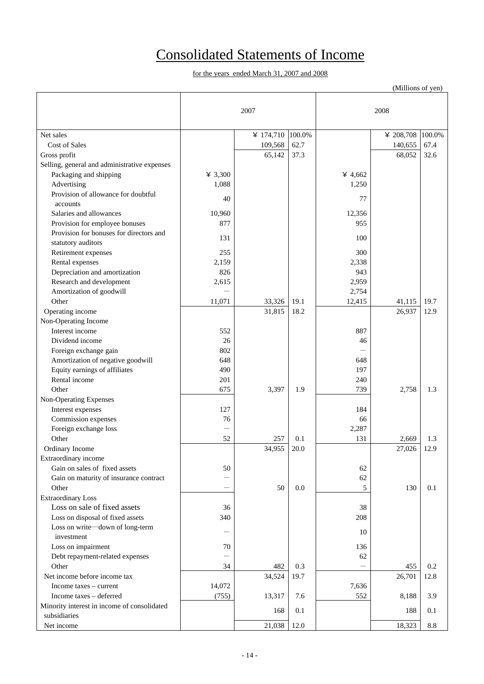# Consolidated Statements of Income

|                                              |         |           |        |         | (Millions of yen) |        |
|----------------------------------------------|---------|-----------|--------|---------|-------------------|--------|
|                                              |         |           |        |         |                   |        |
|                                              |         | 2007      |        |         | 2008              |        |
|                                              |         |           |        |         |                   |        |
| Net sales                                    |         | ¥ 174,710 | 100.0% |         | ¥ 208,708         | 100.0% |
| Cost of Sales                                |         | 109,568   | 62.7   |         | 140,655           | 67.4   |
| Gross profit                                 |         | 65,142    | 37.3   |         | 68,052            | 32.6   |
| Selling, general and administrative expenses |         |           |        |         |                   |        |
| Packaging and shipping                       | ¥ 3,300 |           |        | ¥ 4,662 |                   |        |
| Advertising                                  | 1,088   |           |        | 1,250   |                   |        |
| Provision of allowance for doubtful          |         |           |        |         |                   |        |
| accounts                                     | 40      |           |        | 77      |                   |        |
| Salaries and allowances                      | 10,960  |           |        | 12,356  |                   |        |
| Provision for employee bonuses               | 877     |           |        | 955     |                   |        |
| Provision for bonuses for directors and      |         |           |        |         |                   |        |
| statutory auditors                           | 131     |           |        | 100     |                   |        |
| Retirement expenses                          | 255     |           |        | 300     |                   |        |
| Rental expenses                              | 2,159   |           |        | 2,338   |                   |        |
| Depreciation and amortization                | 826     |           |        | 943     |                   |        |
| Research and development                     | 2,615   |           |        | 2,959   |                   |        |
| Amortization of goodwill                     |         |           |        | 2,754   |                   |        |
| Other                                        | 11,071  | 33,326    | 19.1   | 12,415  | 41,115            | 19.7   |
| Operating income                             |         | 31,815    | 18.2   |         | 26,937            | 12.9   |
| Non-Operating Income                         |         |           |        |         |                   |        |
| Interest income                              | 552     |           |        | 887     |                   |        |
| Dividend income                              | 26      |           |        | 46      |                   |        |
| Foreign exchange gain                        | 802     |           |        |         |                   |        |
| Amortization of negative goodwill            | 648     |           |        | 648     |                   |        |
| Equity earnings of affiliates                | 490     |           |        | 197     |                   |        |
| Rental income                                | 201     |           |        | 240     |                   |        |
| Other                                        | 675     | 3,397     | 1.9    | 739     | 2,758             | 1.3    |
| Non-Operating Expenses                       |         |           |        |         |                   |        |
| Interest expenses                            | 127     |           |        | 184     |                   |        |
| Commission expenses                          | 76      |           |        | 66      |                   |        |
| Foreign exchange loss                        |         |           |        | 2,287   |                   |        |
| Other                                        | 52      | 257       | 0.1    | 131     | 2,669             | 1.3    |
| Ordinary Income                              |         | 34,955    | 20.0   |         | 27,026            | 12.9   |
| Extraordinary income                         |         |           |        |         |                   |        |
| Gain on sales of fixed assets                | 50      |           |        | 62      |                   |        |
| Gain on maturity of insurance contract       |         |           |        | 62      |                   |        |
| Other                                        |         | 50        | 0.0    | 5       | 130               | 0.1    |
| <b>Extraordinary Loss</b>                    |         |           |        |         |                   |        |
| Loss on sale of fixed assets                 | 36      |           |        | 38      |                   |        |
| Loss on disposal of fixed assets             | 340     |           |        | 208     |                   |        |
| Loss on write-down of long-term              |         |           |        | 10      |                   |        |
| investment                                   |         |           |        |         |                   |        |
| Loss on impairment                           | 70      |           |        | 136     |                   |        |
| Debt repayment-related expenses              |         |           |        | 62      |                   |        |
| Other                                        | 34      | 482       | 0.3    |         | 455               | 0.2    |
| Net income before income tax                 |         | 34,524    | 19.7   |         | 26,701            | 12.8   |
| Income taxes – current                       | 14,072  |           |        | 7,636   |                   |        |
| Income taxes - deferred                      | (755)   | 13,317    | 7.6    | 552     | 8,188             | 3.9    |
| Minority interest in income of consolidated  |         | 168       | 0.1    |         | 188               | 0.1    |
| subsidiaries                                 |         |           |        |         |                   |        |
| Net income                                   |         | 21,038    | 12.0   |         | 18,323            | 8.8    |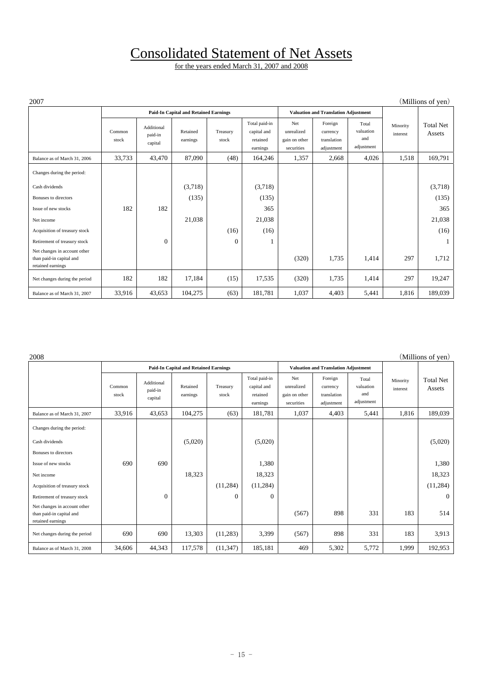# Consolidated Statement of Net Assets

| 2007                                                                          |                 |                                  |                                              |                   |                                                      |                                                  |                                                  |                                         |                      | (Millions of yen)          |
|-------------------------------------------------------------------------------|-----------------|----------------------------------|----------------------------------------------|-------------------|------------------------------------------------------|--------------------------------------------------|--------------------------------------------------|-----------------------------------------|----------------------|----------------------------|
|                                                                               |                 |                                  | <b>Paid-In Capital and Retained Earnings</b> |                   |                                                      |                                                  | <b>Valuation and Translation Adjustment</b>      |                                         |                      |                            |
|                                                                               | Common<br>stock | Additional<br>paid-in<br>capital | Retained<br>earnings                         | Treasury<br>stock | Total paid-in<br>capital and<br>retained<br>earnings | Net<br>unrealized<br>gain on other<br>securities | Foreign<br>currency<br>translation<br>adjustment | Total<br>valuation<br>and<br>adjustment | Minority<br>interest | <b>Total Net</b><br>Assets |
| Balance as of March 31, 2006                                                  | 33,733          | 43,470                           | 87,090                                       | (48)              | 164,246                                              | 1,357                                            | 2,668                                            | 4,026                                   | 1,518                | 169,791                    |
| Changes during the period:                                                    |                 |                                  |                                              |                   |                                                      |                                                  |                                                  |                                         |                      |                            |
| Cash dividends                                                                |                 |                                  | (3,718)                                      |                   | (3,718)                                              |                                                  |                                                  |                                         |                      | (3,718)                    |
| Bonuses to directors                                                          |                 |                                  | (135)                                        |                   | (135)                                                |                                                  |                                                  |                                         |                      | (135)                      |
| Issue of new stocks                                                           | 182             | 182                              |                                              |                   | 365                                                  |                                                  |                                                  |                                         |                      | 365                        |
| Net income                                                                    |                 |                                  | 21,038                                       |                   | 21,038                                               |                                                  |                                                  |                                         |                      | 21,038                     |
| Acquisition of treasury stock                                                 |                 |                                  |                                              | (16)              | (16)                                                 |                                                  |                                                  |                                         |                      | (16)                       |
| Retirement of treasury stock                                                  |                 | $\mathbf{0}$                     |                                              | $\Omega$          |                                                      |                                                  |                                                  |                                         |                      | $\mathbf{1}$               |
| Net changes in account other<br>than paid-in capital and<br>retained earnings |                 |                                  |                                              |                   |                                                      | (320)                                            | 1,735                                            | 1,414                                   | 297                  | 1,712                      |
| Net changes during the period                                                 | 182             | 182                              | 17,184                                       | (15)              | 17,535                                               | (320)                                            | 1,735                                            | 1,414                                   | 297                  | 19,247                     |
| Balance as of March 31, 2007                                                  | 33,916          | 43,653                           | 104,275                                      | (63)              | 181,781                                              | 1,037                                            | 4,403                                            | 5,441                                   | 1,816                | 189,039                    |

| 2008                                                                          |                 |                                  |                                              |                   |                                                      |                                                  |                                                  |                                         |                      | (Millions of yen)          |
|-------------------------------------------------------------------------------|-----------------|----------------------------------|----------------------------------------------|-------------------|------------------------------------------------------|--------------------------------------------------|--------------------------------------------------|-----------------------------------------|----------------------|----------------------------|
|                                                                               |                 |                                  | <b>Paid-In Capital and Retained Earnings</b> |                   |                                                      |                                                  | <b>Valuation and Translation Adjustment</b>      |                                         |                      |                            |
|                                                                               | Common<br>stock | Additional<br>paid-in<br>capital | Retained<br>earnings                         | Treasury<br>stock | Total paid-in<br>capital and<br>retained<br>earnings | Net<br>unrealized<br>gain on other<br>securities | Foreign<br>currency<br>translation<br>adjustment | Total<br>valuation<br>and<br>adjustment | Minority<br>interest | <b>Total Net</b><br>Assets |
| Balance as of March 31, 2007                                                  | 33,916          | 43,653                           | 104,275                                      | (63)              | 181,781                                              | 1,037                                            | 4,403                                            | 5,441                                   | 1,816                | 189,039                    |
| Changes during the period:<br>Cash dividends                                  |                 |                                  |                                              |                   |                                                      |                                                  |                                                  |                                         |                      |                            |
|                                                                               |                 |                                  | (5,020)                                      |                   | (5,020)                                              |                                                  |                                                  |                                         |                      | (5,020)                    |
| Bonuses to directors                                                          |                 |                                  |                                              |                   |                                                      |                                                  |                                                  |                                         |                      |                            |
| Issue of new stocks                                                           | 690             | 690                              |                                              |                   | 1,380                                                |                                                  |                                                  |                                         |                      | 1,380                      |
| Net income                                                                    |                 |                                  | 18,323                                       |                   | 18,323                                               |                                                  |                                                  |                                         |                      | 18,323                     |
| Acquisition of treasury stock                                                 |                 |                                  |                                              | (11,284)          | (11, 284)                                            |                                                  |                                                  |                                         |                      | (11,284)                   |
| Retirement of treasury stock                                                  |                 | $\mathbf{0}$                     |                                              | $\mathbf{0}$      | $\theta$                                             |                                                  |                                                  |                                         |                      | $\overline{0}$             |
| Net changes in account other<br>than paid-in capital and<br>retained earnings |                 |                                  |                                              |                   |                                                      | (567)                                            | 898                                              | 331                                     | 183                  | 514                        |
| Net changes during the period                                                 | 690             | 690                              | 13,303                                       | (11,283)          | 3,399                                                | (567)                                            | 898                                              | 331                                     | 183                  | 3,913                      |
| Balance as of March 31, 2008                                                  | 34,606          | 44,343                           | 117,578                                      | (11, 347)         | 185,181                                              | 469                                              | 5,302                                            | 5,772                                   | 1,999                | 192,953                    |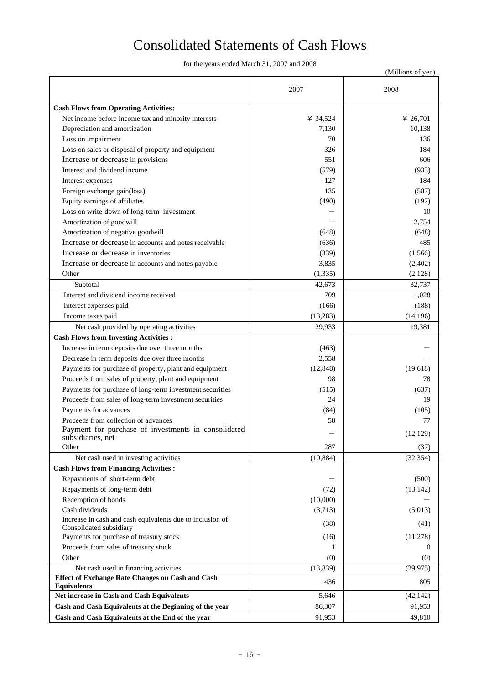# Consolidated Statements of Cash Flows

| 2007<br>2008<br><b>Cash Flows from Operating Activities:</b><br>Net income before income tax and minority interests<br>¥ 34,524<br>¥ 26,701<br>Depreciation and amortization<br>10,138<br>7,130<br>Loss on impairment<br>70<br>136<br>Loss on sales or disposal of property and equipment<br>326<br>184<br>Increase or decrease in provisions<br>551<br>606<br>Interest and dividend income<br>(579)<br>(933)<br>127<br>184<br>Interest expenses<br>Foreign exchange gain(loss)<br>135<br>(587)<br>Equity earnings of affiliates<br>(490)<br>(197)<br>Loss on write-down of long-term investment<br>10<br>Amortization of goodwill<br>2,754<br>Amortization of negative goodwill<br>(648)<br>(648)<br>Increase or decrease in accounts and notes receivable<br>485<br>(636)<br>Increase or decrease in inventories<br>(339)<br>(1, 566)<br>Increase or decrease in accounts and notes payable<br>3,835<br>(2,402)<br>(1, 335)<br>(2,128)<br>Other<br>Subtotal<br>42,673<br>32,737<br>Interest and dividend income received<br>709<br>1,028<br>Interest expenses paid<br>(166)<br>(188)<br>Income taxes paid<br>(13, 283)<br>(14, 196)<br>29,933<br>Net cash provided by operating activities<br>19,381<br><b>Cash Flows from Investing Activities:</b><br>Increase in term deposits due over three months<br>(463)<br>Decrease in term deposits due over three months<br>2,558<br>Payments for purchase of property, plant and equipment<br>(12, 848)<br>(19,618)<br>Proceeds from sales of property, plant and equipment<br>98<br>78<br>Payments for purchase of long-term investment securities<br>(515)<br>(637)<br>Proceeds from sales of long-term investment securities<br>24<br>19<br>Payments for advances<br>(84)<br>(105)<br>Proceeds from collection of advances<br>58<br>77<br>Payment for purchase of investments in consolidated<br>(12, 129)<br>subsidiaries, net<br>Other<br>287<br>(37)<br>(32, 354)<br>(10, 884)<br>Net cash used in investing activities<br><b>Cash Flows from Financing Activities:</b><br>Repayments of short-term debt<br>(500)<br>Repayments of long-term debt<br>(72)<br>(13, 142)<br>Redemption of bonds<br>(10,000)<br>Cash dividends<br>(3,713)<br>(5,013)<br>Increase in cash and cash equivalents due to inclusion of<br>(38)<br>(41)<br>Consolidated subsidiary<br>Payments for purchase of treasury stock<br>(16)<br>(11,278)<br>Proceeds from sales of treasury stock<br>1<br>$\theta$<br>Other<br>(0)<br>(0)<br>Net cash used in financing activities<br>(13, 839)<br>(29, 975)<br><b>Effect of Exchange Rate Changes on Cash and Cash</b><br>436<br>805<br><b>Equivalents</b><br>Net increase in Cash and Cash Equivalents<br>5,646<br>(42, 142)<br>Cash and Cash Equivalents at the Beginning of the year<br>86,307<br>91,953 |                                                  |        | (Millions of yen) |
|----------------------------------------------------------------------------------------------------------------------------------------------------------------------------------------------------------------------------------------------------------------------------------------------------------------------------------------------------------------------------------------------------------------------------------------------------------------------------------------------------------------------------------------------------------------------------------------------------------------------------------------------------------------------------------------------------------------------------------------------------------------------------------------------------------------------------------------------------------------------------------------------------------------------------------------------------------------------------------------------------------------------------------------------------------------------------------------------------------------------------------------------------------------------------------------------------------------------------------------------------------------------------------------------------------------------------------------------------------------------------------------------------------------------------------------------------------------------------------------------------------------------------------------------------------------------------------------------------------------------------------------------------------------------------------------------------------------------------------------------------------------------------------------------------------------------------------------------------------------------------------------------------------------------------------------------------------------------------------------------------------------------------------------------------------------------------------------------------------------------------------------------------------------------------------------------------------------------------------------------------------------------------------------------------------------------------------------------------------------------------------------------------------------------------------------------------------------------------------------------------------------------------------------------------------------------------------------------------------------------------------------------------------------------------------------------------------------------------------------------------------------------------------|--------------------------------------------------|--------|-------------------|
|                                                                                                                                                                                                                                                                                                                                                                                                                                                                                                                                                                                                                                                                                                                                                                                                                                                                                                                                                                                                                                                                                                                                                                                                                                                                                                                                                                                                                                                                                                                                                                                                                                                                                                                                                                                                                                                                                                                                                                                                                                                                                                                                                                                                                                                                                                                                                                                                                                                                                                                                                                                                                                                                                                                                                                                  |                                                  |        |                   |
|                                                                                                                                                                                                                                                                                                                                                                                                                                                                                                                                                                                                                                                                                                                                                                                                                                                                                                                                                                                                                                                                                                                                                                                                                                                                                                                                                                                                                                                                                                                                                                                                                                                                                                                                                                                                                                                                                                                                                                                                                                                                                                                                                                                                                                                                                                                                                                                                                                                                                                                                                                                                                                                                                                                                                                                  |                                                  |        |                   |
|                                                                                                                                                                                                                                                                                                                                                                                                                                                                                                                                                                                                                                                                                                                                                                                                                                                                                                                                                                                                                                                                                                                                                                                                                                                                                                                                                                                                                                                                                                                                                                                                                                                                                                                                                                                                                                                                                                                                                                                                                                                                                                                                                                                                                                                                                                                                                                                                                                                                                                                                                                                                                                                                                                                                                                                  |                                                  |        |                   |
|                                                                                                                                                                                                                                                                                                                                                                                                                                                                                                                                                                                                                                                                                                                                                                                                                                                                                                                                                                                                                                                                                                                                                                                                                                                                                                                                                                                                                                                                                                                                                                                                                                                                                                                                                                                                                                                                                                                                                                                                                                                                                                                                                                                                                                                                                                                                                                                                                                                                                                                                                                                                                                                                                                                                                                                  |                                                  |        |                   |
|                                                                                                                                                                                                                                                                                                                                                                                                                                                                                                                                                                                                                                                                                                                                                                                                                                                                                                                                                                                                                                                                                                                                                                                                                                                                                                                                                                                                                                                                                                                                                                                                                                                                                                                                                                                                                                                                                                                                                                                                                                                                                                                                                                                                                                                                                                                                                                                                                                                                                                                                                                                                                                                                                                                                                                                  |                                                  |        |                   |
|                                                                                                                                                                                                                                                                                                                                                                                                                                                                                                                                                                                                                                                                                                                                                                                                                                                                                                                                                                                                                                                                                                                                                                                                                                                                                                                                                                                                                                                                                                                                                                                                                                                                                                                                                                                                                                                                                                                                                                                                                                                                                                                                                                                                                                                                                                                                                                                                                                                                                                                                                                                                                                                                                                                                                                                  |                                                  |        |                   |
|                                                                                                                                                                                                                                                                                                                                                                                                                                                                                                                                                                                                                                                                                                                                                                                                                                                                                                                                                                                                                                                                                                                                                                                                                                                                                                                                                                                                                                                                                                                                                                                                                                                                                                                                                                                                                                                                                                                                                                                                                                                                                                                                                                                                                                                                                                                                                                                                                                                                                                                                                                                                                                                                                                                                                                                  |                                                  |        |                   |
|                                                                                                                                                                                                                                                                                                                                                                                                                                                                                                                                                                                                                                                                                                                                                                                                                                                                                                                                                                                                                                                                                                                                                                                                                                                                                                                                                                                                                                                                                                                                                                                                                                                                                                                                                                                                                                                                                                                                                                                                                                                                                                                                                                                                                                                                                                                                                                                                                                                                                                                                                                                                                                                                                                                                                                                  |                                                  |        |                   |
|                                                                                                                                                                                                                                                                                                                                                                                                                                                                                                                                                                                                                                                                                                                                                                                                                                                                                                                                                                                                                                                                                                                                                                                                                                                                                                                                                                                                                                                                                                                                                                                                                                                                                                                                                                                                                                                                                                                                                                                                                                                                                                                                                                                                                                                                                                                                                                                                                                                                                                                                                                                                                                                                                                                                                                                  |                                                  |        |                   |
|                                                                                                                                                                                                                                                                                                                                                                                                                                                                                                                                                                                                                                                                                                                                                                                                                                                                                                                                                                                                                                                                                                                                                                                                                                                                                                                                                                                                                                                                                                                                                                                                                                                                                                                                                                                                                                                                                                                                                                                                                                                                                                                                                                                                                                                                                                                                                                                                                                                                                                                                                                                                                                                                                                                                                                                  |                                                  |        |                   |
|                                                                                                                                                                                                                                                                                                                                                                                                                                                                                                                                                                                                                                                                                                                                                                                                                                                                                                                                                                                                                                                                                                                                                                                                                                                                                                                                                                                                                                                                                                                                                                                                                                                                                                                                                                                                                                                                                                                                                                                                                                                                                                                                                                                                                                                                                                                                                                                                                                                                                                                                                                                                                                                                                                                                                                                  |                                                  |        |                   |
|                                                                                                                                                                                                                                                                                                                                                                                                                                                                                                                                                                                                                                                                                                                                                                                                                                                                                                                                                                                                                                                                                                                                                                                                                                                                                                                                                                                                                                                                                                                                                                                                                                                                                                                                                                                                                                                                                                                                                                                                                                                                                                                                                                                                                                                                                                                                                                                                                                                                                                                                                                                                                                                                                                                                                                                  |                                                  |        |                   |
|                                                                                                                                                                                                                                                                                                                                                                                                                                                                                                                                                                                                                                                                                                                                                                                                                                                                                                                                                                                                                                                                                                                                                                                                                                                                                                                                                                                                                                                                                                                                                                                                                                                                                                                                                                                                                                                                                                                                                                                                                                                                                                                                                                                                                                                                                                                                                                                                                                                                                                                                                                                                                                                                                                                                                                                  |                                                  |        |                   |
|                                                                                                                                                                                                                                                                                                                                                                                                                                                                                                                                                                                                                                                                                                                                                                                                                                                                                                                                                                                                                                                                                                                                                                                                                                                                                                                                                                                                                                                                                                                                                                                                                                                                                                                                                                                                                                                                                                                                                                                                                                                                                                                                                                                                                                                                                                                                                                                                                                                                                                                                                                                                                                                                                                                                                                                  |                                                  |        |                   |
|                                                                                                                                                                                                                                                                                                                                                                                                                                                                                                                                                                                                                                                                                                                                                                                                                                                                                                                                                                                                                                                                                                                                                                                                                                                                                                                                                                                                                                                                                                                                                                                                                                                                                                                                                                                                                                                                                                                                                                                                                                                                                                                                                                                                                                                                                                                                                                                                                                                                                                                                                                                                                                                                                                                                                                                  |                                                  |        |                   |
|                                                                                                                                                                                                                                                                                                                                                                                                                                                                                                                                                                                                                                                                                                                                                                                                                                                                                                                                                                                                                                                                                                                                                                                                                                                                                                                                                                                                                                                                                                                                                                                                                                                                                                                                                                                                                                                                                                                                                                                                                                                                                                                                                                                                                                                                                                                                                                                                                                                                                                                                                                                                                                                                                                                                                                                  |                                                  |        |                   |
|                                                                                                                                                                                                                                                                                                                                                                                                                                                                                                                                                                                                                                                                                                                                                                                                                                                                                                                                                                                                                                                                                                                                                                                                                                                                                                                                                                                                                                                                                                                                                                                                                                                                                                                                                                                                                                                                                                                                                                                                                                                                                                                                                                                                                                                                                                                                                                                                                                                                                                                                                                                                                                                                                                                                                                                  |                                                  |        |                   |
|                                                                                                                                                                                                                                                                                                                                                                                                                                                                                                                                                                                                                                                                                                                                                                                                                                                                                                                                                                                                                                                                                                                                                                                                                                                                                                                                                                                                                                                                                                                                                                                                                                                                                                                                                                                                                                                                                                                                                                                                                                                                                                                                                                                                                                                                                                                                                                                                                                                                                                                                                                                                                                                                                                                                                                                  |                                                  |        |                   |
|                                                                                                                                                                                                                                                                                                                                                                                                                                                                                                                                                                                                                                                                                                                                                                                                                                                                                                                                                                                                                                                                                                                                                                                                                                                                                                                                                                                                                                                                                                                                                                                                                                                                                                                                                                                                                                                                                                                                                                                                                                                                                                                                                                                                                                                                                                                                                                                                                                                                                                                                                                                                                                                                                                                                                                                  |                                                  |        |                   |
|                                                                                                                                                                                                                                                                                                                                                                                                                                                                                                                                                                                                                                                                                                                                                                                                                                                                                                                                                                                                                                                                                                                                                                                                                                                                                                                                                                                                                                                                                                                                                                                                                                                                                                                                                                                                                                                                                                                                                                                                                                                                                                                                                                                                                                                                                                                                                                                                                                                                                                                                                                                                                                                                                                                                                                                  |                                                  |        |                   |
|                                                                                                                                                                                                                                                                                                                                                                                                                                                                                                                                                                                                                                                                                                                                                                                                                                                                                                                                                                                                                                                                                                                                                                                                                                                                                                                                                                                                                                                                                                                                                                                                                                                                                                                                                                                                                                                                                                                                                                                                                                                                                                                                                                                                                                                                                                                                                                                                                                                                                                                                                                                                                                                                                                                                                                                  |                                                  |        |                   |
|                                                                                                                                                                                                                                                                                                                                                                                                                                                                                                                                                                                                                                                                                                                                                                                                                                                                                                                                                                                                                                                                                                                                                                                                                                                                                                                                                                                                                                                                                                                                                                                                                                                                                                                                                                                                                                                                                                                                                                                                                                                                                                                                                                                                                                                                                                                                                                                                                                                                                                                                                                                                                                                                                                                                                                                  |                                                  |        |                   |
|                                                                                                                                                                                                                                                                                                                                                                                                                                                                                                                                                                                                                                                                                                                                                                                                                                                                                                                                                                                                                                                                                                                                                                                                                                                                                                                                                                                                                                                                                                                                                                                                                                                                                                                                                                                                                                                                                                                                                                                                                                                                                                                                                                                                                                                                                                                                                                                                                                                                                                                                                                                                                                                                                                                                                                                  |                                                  |        |                   |
|                                                                                                                                                                                                                                                                                                                                                                                                                                                                                                                                                                                                                                                                                                                                                                                                                                                                                                                                                                                                                                                                                                                                                                                                                                                                                                                                                                                                                                                                                                                                                                                                                                                                                                                                                                                                                                                                                                                                                                                                                                                                                                                                                                                                                                                                                                                                                                                                                                                                                                                                                                                                                                                                                                                                                                                  |                                                  |        |                   |
|                                                                                                                                                                                                                                                                                                                                                                                                                                                                                                                                                                                                                                                                                                                                                                                                                                                                                                                                                                                                                                                                                                                                                                                                                                                                                                                                                                                                                                                                                                                                                                                                                                                                                                                                                                                                                                                                                                                                                                                                                                                                                                                                                                                                                                                                                                                                                                                                                                                                                                                                                                                                                                                                                                                                                                                  |                                                  |        |                   |
|                                                                                                                                                                                                                                                                                                                                                                                                                                                                                                                                                                                                                                                                                                                                                                                                                                                                                                                                                                                                                                                                                                                                                                                                                                                                                                                                                                                                                                                                                                                                                                                                                                                                                                                                                                                                                                                                                                                                                                                                                                                                                                                                                                                                                                                                                                                                                                                                                                                                                                                                                                                                                                                                                                                                                                                  |                                                  |        |                   |
|                                                                                                                                                                                                                                                                                                                                                                                                                                                                                                                                                                                                                                                                                                                                                                                                                                                                                                                                                                                                                                                                                                                                                                                                                                                                                                                                                                                                                                                                                                                                                                                                                                                                                                                                                                                                                                                                                                                                                                                                                                                                                                                                                                                                                                                                                                                                                                                                                                                                                                                                                                                                                                                                                                                                                                                  |                                                  |        |                   |
|                                                                                                                                                                                                                                                                                                                                                                                                                                                                                                                                                                                                                                                                                                                                                                                                                                                                                                                                                                                                                                                                                                                                                                                                                                                                                                                                                                                                                                                                                                                                                                                                                                                                                                                                                                                                                                                                                                                                                                                                                                                                                                                                                                                                                                                                                                                                                                                                                                                                                                                                                                                                                                                                                                                                                                                  |                                                  |        |                   |
|                                                                                                                                                                                                                                                                                                                                                                                                                                                                                                                                                                                                                                                                                                                                                                                                                                                                                                                                                                                                                                                                                                                                                                                                                                                                                                                                                                                                                                                                                                                                                                                                                                                                                                                                                                                                                                                                                                                                                                                                                                                                                                                                                                                                                                                                                                                                                                                                                                                                                                                                                                                                                                                                                                                                                                                  |                                                  |        |                   |
|                                                                                                                                                                                                                                                                                                                                                                                                                                                                                                                                                                                                                                                                                                                                                                                                                                                                                                                                                                                                                                                                                                                                                                                                                                                                                                                                                                                                                                                                                                                                                                                                                                                                                                                                                                                                                                                                                                                                                                                                                                                                                                                                                                                                                                                                                                                                                                                                                                                                                                                                                                                                                                                                                                                                                                                  |                                                  |        |                   |
|                                                                                                                                                                                                                                                                                                                                                                                                                                                                                                                                                                                                                                                                                                                                                                                                                                                                                                                                                                                                                                                                                                                                                                                                                                                                                                                                                                                                                                                                                                                                                                                                                                                                                                                                                                                                                                                                                                                                                                                                                                                                                                                                                                                                                                                                                                                                                                                                                                                                                                                                                                                                                                                                                                                                                                                  |                                                  |        |                   |
|                                                                                                                                                                                                                                                                                                                                                                                                                                                                                                                                                                                                                                                                                                                                                                                                                                                                                                                                                                                                                                                                                                                                                                                                                                                                                                                                                                                                                                                                                                                                                                                                                                                                                                                                                                                                                                                                                                                                                                                                                                                                                                                                                                                                                                                                                                                                                                                                                                                                                                                                                                                                                                                                                                                                                                                  |                                                  |        |                   |
|                                                                                                                                                                                                                                                                                                                                                                                                                                                                                                                                                                                                                                                                                                                                                                                                                                                                                                                                                                                                                                                                                                                                                                                                                                                                                                                                                                                                                                                                                                                                                                                                                                                                                                                                                                                                                                                                                                                                                                                                                                                                                                                                                                                                                                                                                                                                                                                                                                                                                                                                                                                                                                                                                                                                                                                  |                                                  |        |                   |
|                                                                                                                                                                                                                                                                                                                                                                                                                                                                                                                                                                                                                                                                                                                                                                                                                                                                                                                                                                                                                                                                                                                                                                                                                                                                                                                                                                                                                                                                                                                                                                                                                                                                                                                                                                                                                                                                                                                                                                                                                                                                                                                                                                                                                                                                                                                                                                                                                                                                                                                                                                                                                                                                                                                                                                                  |                                                  |        |                   |
|                                                                                                                                                                                                                                                                                                                                                                                                                                                                                                                                                                                                                                                                                                                                                                                                                                                                                                                                                                                                                                                                                                                                                                                                                                                                                                                                                                                                                                                                                                                                                                                                                                                                                                                                                                                                                                                                                                                                                                                                                                                                                                                                                                                                                                                                                                                                                                                                                                                                                                                                                                                                                                                                                                                                                                                  |                                                  |        |                   |
|                                                                                                                                                                                                                                                                                                                                                                                                                                                                                                                                                                                                                                                                                                                                                                                                                                                                                                                                                                                                                                                                                                                                                                                                                                                                                                                                                                                                                                                                                                                                                                                                                                                                                                                                                                                                                                                                                                                                                                                                                                                                                                                                                                                                                                                                                                                                                                                                                                                                                                                                                                                                                                                                                                                                                                                  |                                                  |        |                   |
|                                                                                                                                                                                                                                                                                                                                                                                                                                                                                                                                                                                                                                                                                                                                                                                                                                                                                                                                                                                                                                                                                                                                                                                                                                                                                                                                                                                                                                                                                                                                                                                                                                                                                                                                                                                                                                                                                                                                                                                                                                                                                                                                                                                                                                                                                                                                                                                                                                                                                                                                                                                                                                                                                                                                                                                  |                                                  |        |                   |
|                                                                                                                                                                                                                                                                                                                                                                                                                                                                                                                                                                                                                                                                                                                                                                                                                                                                                                                                                                                                                                                                                                                                                                                                                                                                                                                                                                                                                                                                                                                                                                                                                                                                                                                                                                                                                                                                                                                                                                                                                                                                                                                                                                                                                                                                                                                                                                                                                                                                                                                                                                                                                                                                                                                                                                                  |                                                  |        |                   |
|                                                                                                                                                                                                                                                                                                                                                                                                                                                                                                                                                                                                                                                                                                                                                                                                                                                                                                                                                                                                                                                                                                                                                                                                                                                                                                                                                                                                                                                                                                                                                                                                                                                                                                                                                                                                                                                                                                                                                                                                                                                                                                                                                                                                                                                                                                                                                                                                                                                                                                                                                                                                                                                                                                                                                                                  |                                                  |        |                   |
|                                                                                                                                                                                                                                                                                                                                                                                                                                                                                                                                                                                                                                                                                                                                                                                                                                                                                                                                                                                                                                                                                                                                                                                                                                                                                                                                                                                                                                                                                                                                                                                                                                                                                                                                                                                                                                                                                                                                                                                                                                                                                                                                                                                                                                                                                                                                                                                                                                                                                                                                                                                                                                                                                                                                                                                  |                                                  |        |                   |
|                                                                                                                                                                                                                                                                                                                                                                                                                                                                                                                                                                                                                                                                                                                                                                                                                                                                                                                                                                                                                                                                                                                                                                                                                                                                                                                                                                                                                                                                                                                                                                                                                                                                                                                                                                                                                                                                                                                                                                                                                                                                                                                                                                                                                                                                                                                                                                                                                                                                                                                                                                                                                                                                                                                                                                                  |                                                  |        |                   |
|                                                                                                                                                                                                                                                                                                                                                                                                                                                                                                                                                                                                                                                                                                                                                                                                                                                                                                                                                                                                                                                                                                                                                                                                                                                                                                                                                                                                                                                                                                                                                                                                                                                                                                                                                                                                                                                                                                                                                                                                                                                                                                                                                                                                                                                                                                                                                                                                                                                                                                                                                                                                                                                                                                                                                                                  |                                                  |        |                   |
|                                                                                                                                                                                                                                                                                                                                                                                                                                                                                                                                                                                                                                                                                                                                                                                                                                                                                                                                                                                                                                                                                                                                                                                                                                                                                                                                                                                                                                                                                                                                                                                                                                                                                                                                                                                                                                                                                                                                                                                                                                                                                                                                                                                                                                                                                                                                                                                                                                                                                                                                                                                                                                                                                                                                                                                  |                                                  |        |                   |
|                                                                                                                                                                                                                                                                                                                                                                                                                                                                                                                                                                                                                                                                                                                                                                                                                                                                                                                                                                                                                                                                                                                                                                                                                                                                                                                                                                                                                                                                                                                                                                                                                                                                                                                                                                                                                                                                                                                                                                                                                                                                                                                                                                                                                                                                                                                                                                                                                                                                                                                                                                                                                                                                                                                                                                                  |                                                  |        |                   |
|                                                                                                                                                                                                                                                                                                                                                                                                                                                                                                                                                                                                                                                                                                                                                                                                                                                                                                                                                                                                                                                                                                                                                                                                                                                                                                                                                                                                                                                                                                                                                                                                                                                                                                                                                                                                                                                                                                                                                                                                                                                                                                                                                                                                                                                                                                                                                                                                                                                                                                                                                                                                                                                                                                                                                                                  |                                                  |        |                   |
|                                                                                                                                                                                                                                                                                                                                                                                                                                                                                                                                                                                                                                                                                                                                                                                                                                                                                                                                                                                                                                                                                                                                                                                                                                                                                                                                                                                                                                                                                                                                                                                                                                                                                                                                                                                                                                                                                                                                                                                                                                                                                                                                                                                                                                                                                                                                                                                                                                                                                                                                                                                                                                                                                                                                                                                  |                                                  |        |                   |
|                                                                                                                                                                                                                                                                                                                                                                                                                                                                                                                                                                                                                                                                                                                                                                                                                                                                                                                                                                                                                                                                                                                                                                                                                                                                                                                                                                                                                                                                                                                                                                                                                                                                                                                                                                                                                                                                                                                                                                                                                                                                                                                                                                                                                                                                                                                                                                                                                                                                                                                                                                                                                                                                                                                                                                                  |                                                  |        |                   |
|                                                                                                                                                                                                                                                                                                                                                                                                                                                                                                                                                                                                                                                                                                                                                                                                                                                                                                                                                                                                                                                                                                                                                                                                                                                                                                                                                                                                                                                                                                                                                                                                                                                                                                                                                                                                                                                                                                                                                                                                                                                                                                                                                                                                                                                                                                                                                                                                                                                                                                                                                                                                                                                                                                                                                                                  |                                                  |        |                   |
|                                                                                                                                                                                                                                                                                                                                                                                                                                                                                                                                                                                                                                                                                                                                                                                                                                                                                                                                                                                                                                                                                                                                                                                                                                                                                                                                                                                                                                                                                                                                                                                                                                                                                                                                                                                                                                                                                                                                                                                                                                                                                                                                                                                                                                                                                                                                                                                                                                                                                                                                                                                                                                                                                                                                                                                  |                                                  |        |                   |
|                                                                                                                                                                                                                                                                                                                                                                                                                                                                                                                                                                                                                                                                                                                                                                                                                                                                                                                                                                                                                                                                                                                                                                                                                                                                                                                                                                                                                                                                                                                                                                                                                                                                                                                                                                                                                                                                                                                                                                                                                                                                                                                                                                                                                                                                                                                                                                                                                                                                                                                                                                                                                                                                                                                                                                                  |                                                  |        |                   |
|                                                                                                                                                                                                                                                                                                                                                                                                                                                                                                                                                                                                                                                                                                                                                                                                                                                                                                                                                                                                                                                                                                                                                                                                                                                                                                                                                                                                                                                                                                                                                                                                                                                                                                                                                                                                                                                                                                                                                                                                                                                                                                                                                                                                                                                                                                                                                                                                                                                                                                                                                                                                                                                                                                                                                                                  | Cash and Cash Equivalents at the End of the year | 91,953 | 49,810            |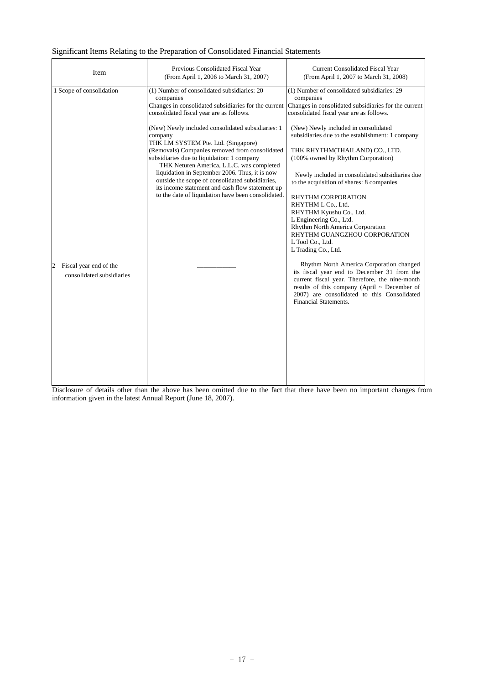# Significant Items Relating to the Preparation of Consolidated Financial Statements

| Item                                                                                 | Previous Consolidated Fiscal Year<br>(From April 1, 2006 to March 31, 2007)                                                                                                                                                                                                                                                                                                                                                                                                                                                                                                                                                    | <b>Current Consolidated Fiscal Year</b><br>(From April 1, 2007 to March 31, 2008)                                                                                                                                                                                                                                                                                                                                                                                                                                                                                                                                                                                                                                                                                                                                                                                                                                      |
|--------------------------------------------------------------------------------------|--------------------------------------------------------------------------------------------------------------------------------------------------------------------------------------------------------------------------------------------------------------------------------------------------------------------------------------------------------------------------------------------------------------------------------------------------------------------------------------------------------------------------------------------------------------------------------------------------------------------------------|------------------------------------------------------------------------------------------------------------------------------------------------------------------------------------------------------------------------------------------------------------------------------------------------------------------------------------------------------------------------------------------------------------------------------------------------------------------------------------------------------------------------------------------------------------------------------------------------------------------------------------------------------------------------------------------------------------------------------------------------------------------------------------------------------------------------------------------------------------------------------------------------------------------------|
| 1 Scope of consolidation<br>Fiscal year end of the<br>2<br>consolidated subsidiaries | (1) Number of consolidated subsidiaries: 20<br>companies<br>Changes in consolidated subsidiaries for the current<br>consolidated fiscal year are as follows.<br>(New) Newly included consolidated subsidiaries: 1<br>company<br>THK LM SYSTEM Pte. Ltd. (Singapore)<br>(Removals) Companies removed from consolidated<br>subsidiaries due to liquidation: 1 company<br>THK Neturen America, L.L.C. was completed<br>liquidation in September 2006. Thus, it is now<br>outside the scope of consolidated subsidiaries,<br>its income statement and cash flow statement up<br>to the date of liquidation have been consolidated. | (1) Number of consolidated subsidiaries: 29<br>companies<br>Changes in consolidated subsidiaries for the current<br>consolidated fiscal year are as follows.<br>(New) Newly included in consolidated<br>subsidiaries due to the establishment: 1 company<br>THK RHYTHM(THAILAND) CO., LTD.<br>(100% owned by Rhythm Corporation)<br>Newly included in consolidated subsidiaries due<br>to the acquisition of shares: 8 companies<br>RHYTHM CORPORATION<br>RHYTHM L Co., Ltd.<br>RHYTHM Kyushu Co., Ltd.<br>L Engineering Co., Ltd.<br>Rhythm North America Corporation<br>RHYTHM GUANGZHOU CORPORATION<br>L Tool Co., Ltd.<br>L Trading Co., Ltd.<br>Rhythm North America Corporation changed<br>its fiscal year end to December 31 from the<br>current fiscal year. Therefore, the nine-month<br>results of this company (April ~ December of<br>2007) are consolidated to this Consolidated<br>Financial Statements. |

Disclosure of details other than the above has been omitted due to the fact that there have been no important changes from information given in the latest Annual Report (June 18, 2007).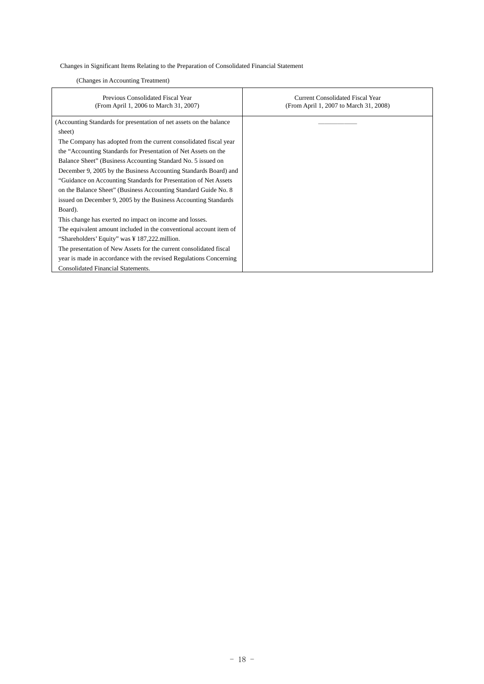Changes in Significant Items Relating to the Preparation of Consolidated Financial Statement

# (Changes in Accounting Treatment)

| Previous Consolidated Fiscal Year<br>(From April 1, 2006 to March 31, 2007) | <b>Current Consolidated Fiscal Year</b><br>(From April 1, 2007 to March 31, 2008) |
|-----------------------------------------------------------------------------|-----------------------------------------------------------------------------------|
| (Accounting Standards for presentation of net assets on the balance)        |                                                                                   |
| sheet)                                                                      |                                                                                   |
| The Company has adopted from the current consolidated fiscal year           |                                                                                   |
| the "Accounting Standards for Presentation of Net Assets on the             |                                                                                   |
| Balance Sheet" (Business Accounting Standard No. 5 issued on                |                                                                                   |
| December 9, 2005 by the Business Accounting Standards Board) and            |                                                                                   |
| "Guidance on Accounting Standards for Presentation of Net Assets            |                                                                                   |
| on the Balance Sheet" (Business Accounting Standard Guide No. 8)            |                                                                                   |
| issued on December 9, 2005 by the Business Accounting Standards             |                                                                                   |
| Board).                                                                     |                                                                                   |
| This change has exerted no impact on income and losses.                     |                                                                                   |
| The equivalent amount included in the conventional account item of          |                                                                                   |
| "Shareholders' Equity" was ¥ 187,222 million.                               |                                                                                   |
| The presentation of New Assets for the current consolidated fiscal          |                                                                                   |
| year is made in accordance with the revised Regulations Concerning          |                                                                                   |
| <b>Consolidated Financial Statements.</b>                                   |                                                                                   |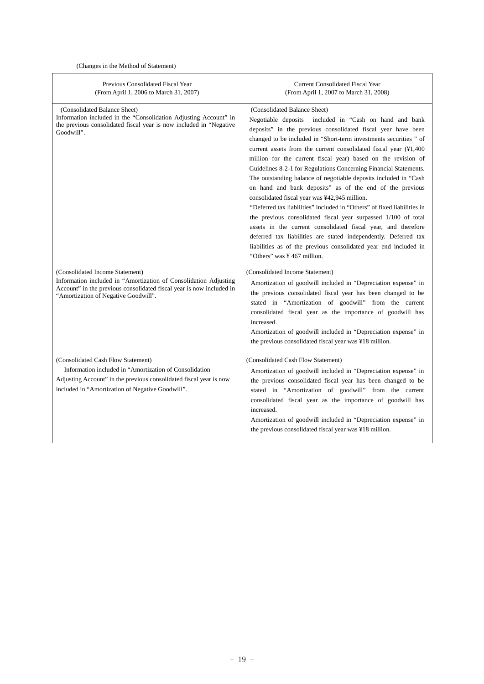(Changes in the Method of Statement)

| Previous Consolidated Fiscal Year<br>(From April 1, 2006 to March 31, 2007)                                                                                                                                            | <b>Current Consolidated Fiscal Year</b><br>(From April 1, 2007 to March 31, 2008)                                                                                                                                                                                                                                                                                                                                                                                                                                                                                                                                                                                                                                                                                                                                                                                                                                                                                                                           |
|------------------------------------------------------------------------------------------------------------------------------------------------------------------------------------------------------------------------|-------------------------------------------------------------------------------------------------------------------------------------------------------------------------------------------------------------------------------------------------------------------------------------------------------------------------------------------------------------------------------------------------------------------------------------------------------------------------------------------------------------------------------------------------------------------------------------------------------------------------------------------------------------------------------------------------------------------------------------------------------------------------------------------------------------------------------------------------------------------------------------------------------------------------------------------------------------------------------------------------------------|
| (Consolidated Balance Sheet)<br>Information included in the "Consolidation Adjusting Account" in<br>the previous consolidated fiscal year is now included in "Negative"<br>Goodwill".                                  | (Consolidated Balance Sheet)<br>included in "Cash on hand and bank<br>Negotiable deposits<br>deposits" in the previous consolidated fiscal year have been<br>changed to be included in "Short-term investments securities" of<br>current assets from the current consolidated fiscal year (¥1,400<br>million for the current fiscal year) based on the revision of<br>Guidelines 8-2-1 for Regulations Concerning Financial Statements.<br>The outstanding balance of negotiable deposits included in "Cash<br>on hand and bank deposits" as of the end of the previous<br>consolidated fiscal year was ¥42,945 million.<br>"Deferred tax liabilities" included in "Others" of fixed liabilities in<br>the previous consolidated fiscal year surpassed 1/100 of total<br>assets in the current consolidated fiscal year, and therefore<br>deferred tax liabilities are stated independently. Deferred tax<br>liabilities as of the previous consolidated year end included in<br>"Others" was ¥467 million. |
| (Consolidated Income Statement)<br>Information included in "Amortization of Consolidation Adjusting<br>Account" in the previous consolidated fiscal year is now included in<br>"Amortization of Negative Goodwill".    | (Consolidated Income Statement)<br>Amortization of goodwill included in "Depreciation expense" in<br>the previous consolidated fiscal year has been changed to be<br>stated in "Amortization of goodwill" from the current<br>consolidated fiscal year as the importance of goodwill has<br>increased.<br>Amortization of goodwill included in "Depreciation expense" in<br>the previous consolidated fiscal year was ¥18 million.                                                                                                                                                                                                                                                                                                                                                                                                                                                                                                                                                                          |
| (Consolidated Cash Flow Statement)<br>Information included in "Amortization of Consolidation<br>Adjusting Account" in the previous consolidated fiscal year is now<br>included in "Amortization of Negative Goodwill". | (Consolidated Cash Flow Statement)<br>Amortization of goodwill included in "Depreciation expense" in<br>the previous consolidated fiscal year has been changed to be<br>stated in "Amortization of goodwill" from the current<br>consolidated fiscal year as the importance of goodwill has<br>increased.<br>Amortization of goodwill included in "Depreciation expense" in<br>the previous consolidated fiscal year was ¥18 million.                                                                                                                                                                                                                                                                                                                                                                                                                                                                                                                                                                       |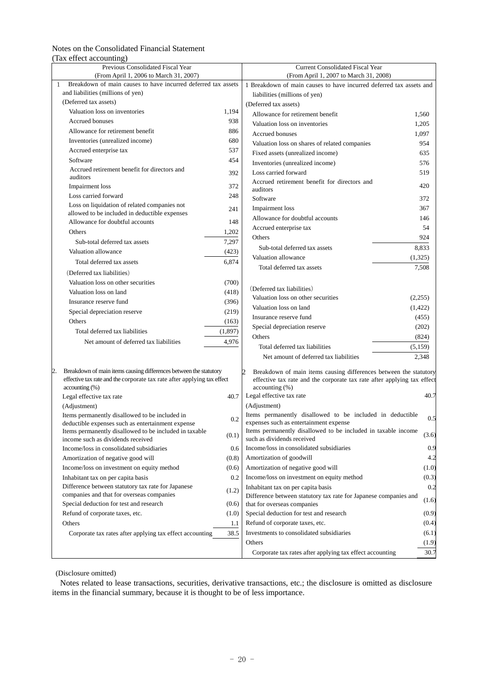# Notes on the Consolidated Financial Statement (Tax effect accounting)

| Previous Consolidated Fiscal Year                                                                           |          | <b>Current Consolidated Fiscal Year</b>                                                             |         |  |  |
|-------------------------------------------------------------------------------------------------------------|----------|-----------------------------------------------------------------------------------------------------|---------|--|--|
| (From April 1, 2006 to March 31, 2007)                                                                      |          | (From April 1, 2007 to March 31, 2008)                                                              |         |  |  |
| Breakdown of main causes to have incurred deferred tax assets<br>$\mathbf{1}$                               |          | 1 Breakdown of main causes to have incurred deferred tax assets and                                 |         |  |  |
| and liabilities (millions of yen)                                                                           |          | liabilities (millions of yen)                                                                       |         |  |  |
| (Deferred tax assets)                                                                                       |          | (Deferred tax assets)                                                                               |         |  |  |
| Valuation loss on inventories                                                                               | 1,194    | Allowance for retirement benefit                                                                    | 1,560   |  |  |
| Accrued bonuses                                                                                             | 938      | Valuation loss on inventories                                                                       | 1,205   |  |  |
| Allowance for retirement benefit                                                                            | 886      | <b>Accrued bonuses</b>                                                                              | 1,097   |  |  |
| Inventories (unrealized income)                                                                             | 680      | Valuation loss on shares of related companies                                                       | 954     |  |  |
| Accrued enterprise tax                                                                                      | 537      | Fixed assets (unrealized income)                                                                    | 635     |  |  |
| Software                                                                                                    | 454      | Inventories (unrealized income)                                                                     | 576     |  |  |
| Accrued retirement benefit for directors and                                                                | 392      | Loss carried forward                                                                                | 519     |  |  |
| auditors                                                                                                    |          | Accrued retirement benefit for directors and                                                        | 420     |  |  |
| Impairment loss                                                                                             | 372      | auditors                                                                                            |         |  |  |
| Loss carried forward                                                                                        | 248      | Software                                                                                            | 372     |  |  |
| Loss on liquidation of related companies not<br>allowed to be included in deductible expenses               | 241      | Impairment loss                                                                                     | 367     |  |  |
| Allowance for doubtful accounts                                                                             | 148      | Allowance for doubtful accounts                                                                     | 146     |  |  |
| Others                                                                                                      | 1,202    | Accrued enterprise tax                                                                              | 54      |  |  |
|                                                                                                             | 7,297    | Others                                                                                              | 924     |  |  |
| Sub-total deferred tax assets                                                                               |          | Sub-total deferred tax assets                                                                       | 8,833   |  |  |
| Valuation allowance                                                                                         | (423)    | Valuation allowance                                                                                 | (1,325) |  |  |
| Total deferred tax assets                                                                                   | 6,874    | Total deferred tax assets                                                                           | 7,508   |  |  |
| (Deferred tax liabilities)                                                                                  |          |                                                                                                     |         |  |  |
| Valuation loss on other securities                                                                          | (700)    | (Deferred tax liabilities)                                                                          |         |  |  |
| Valuation loss on land                                                                                      | (418)    | Valuation loss on other securities                                                                  | (2,255) |  |  |
| Insurance reserve fund                                                                                      | (396)    | Valuation loss on land                                                                              | (1,422) |  |  |
| Special depreciation reserve                                                                                | (219)    |                                                                                                     |         |  |  |
| Others                                                                                                      | (163)    | Insurance reserve fund                                                                              | (455)   |  |  |
| Total deferred tax liabilities                                                                              | (1, 897) | Special depreciation reserve                                                                        | (202)   |  |  |
| Net amount of deferred tax liabilities                                                                      | 4,976    | Others                                                                                              | (824)   |  |  |
|                                                                                                             |          | Total deferred tax liabilities                                                                      | (5,159) |  |  |
|                                                                                                             |          | Net amount of deferred tax liabilities                                                              | 2,348   |  |  |
| Breakdown of main items causing differences between the statutory                                           |          | 2<br>Breakdown of main items causing differences between the statutory                              |         |  |  |
| effective tax rate and the corporate tax rate after applying tax effect                                     |          | effective tax rate and the corporate tax rate after applying tax effect                             |         |  |  |
| $accounting (\%)$                                                                                           |          | $accounting (\%)$                                                                                   |         |  |  |
| Legal effective tax rate                                                                                    | 40.7     | Legal effective tax rate                                                                            | 40.7    |  |  |
| (Adjustment)                                                                                                |          | (Adjustment)                                                                                        |         |  |  |
| Items permanently disallowed to be included in                                                              | 0.2      | Items permanently disallowed to be included in deductible<br>expenses such as entertainment expense | 0.5     |  |  |
| deductible expenses such as entertainment expense<br>Items permanently disallowed to be included in taxable |          | Items permanently disallowed to be included in taxable income                                       |         |  |  |
| income such as dividends received                                                                           | (0.1)    | such as dividends received                                                                          | (3.6)   |  |  |
| Income/loss in consolidated subsidiaries                                                                    | 0.6      | Income/loss in consolidated subsidiaries                                                            | 0.9     |  |  |
| Amortization of negative good will                                                                          | (0.8)    | Amortization of goodwill                                                                            | 4.2     |  |  |
| Income/loss on investment on equity method                                                                  | (0.6)    | Amortization of negative good will                                                                  | (1.0)   |  |  |
| Inhabitant tax on per capita basis                                                                          | 0.2      | Income/loss on investment on equity method                                                          | (0.3)   |  |  |
| Difference between statutory tax rate for Japanese                                                          |          | Inhabitant tax on per capita basis                                                                  | 0.2     |  |  |
| companies and that for overseas companies                                                                   | (1.2)    | Difference between statutory tax rate for Japanese companies and                                    |         |  |  |
| Special deduction for test and research                                                                     | (0.6)    | that for overseas companies                                                                         | (1.6)   |  |  |
| Refund of corporate taxes, etc.                                                                             | (1.0)    | Special deduction for test and research                                                             | (0.9)   |  |  |
| Others                                                                                                      | 1.1      | Refund of corporate taxes, etc.                                                                     | (0.4)   |  |  |
| Corporate tax rates after applying tax effect accounting                                                    | 38.5     | Investments to consolidated subsidiaries                                                            | (6.1)   |  |  |
|                                                                                                             |          | Others                                                                                              | (1.9)   |  |  |
|                                                                                                             |          | Corporate tax rates after applying tax effect accounting                                            | 30.7    |  |  |

(Disclosure omitted)

Notes related to lease transactions, securities, derivative transactions, etc.; the disclosure is omitted as disclosure items in the financial summary, because it is thought to be of less importance.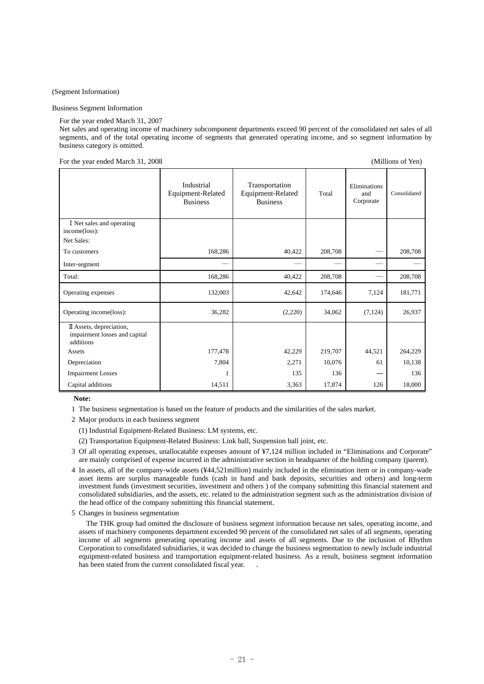(Segment Information)

#### Business Segment Information

For the year ended March 31, 2007

Net sales and operating income of machinery subcomponent departments exceed 90 percent of the consolidated net sales of all segments, and of the total operating income of segments that generated operating income, and so segment information by business category is omitted.

For the year ended March 31, 2008 (Millions of Yen)

|                                                                        | Industrial<br>Equipment-Related<br><b>Business</b> | Transportation<br>Equipment-Related<br><b>Business</b> | Total   | Eliminations<br>and<br>Corporate | Consolidated |
|------------------------------------------------------------------------|----------------------------------------------------|--------------------------------------------------------|---------|----------------------------------|--------------|
| I Net sales and operating<br>income(loss):<br>Net Sales:               |                                                    |                                                        |         |                                  |              |
| To customers                                                           | 168,286                                            | 40,422                                                 | 208,708 |                                  | 208,708      |
| Inter-segment                                                          |                                                    |                                                        |         |                                  |              |
|                                                                        |                                                    |                                                        |         |                                  |              |
| Total:                                                                 | 168,286                                            | 40,422                                                 | 208,708 |                                  | 208,708      |
| Operating expenses                                                     | 132,003                                            | 42,642                                                 | 174,646 | 7,124                            | 181,771      |
| Operating income(loss):                                                | 36,282                                             | (2,220)                                                | 34,062  | (7, 124)                         | 26,937       |
| II Assets, depreciation,<br>impairment losses and capital<br>additions |                                                    |                                                        |         |                                  |              |
| Assets                                                                 | 177,478                                            | 42,229                                                 | 219,707 | 44,521                           | 264,229      |
| Depreciation                                                           | 7,804                                              | 2,271                                                  | 10,076  | 61                               | 10,138       |
| <b>Impairment Losses</b>                                               | 1                                                  | 135                                                    | 136     |                                  | 136          |
| Capital additions                                                      | 14,511                                             | 3,363                                                  | 17,874  | 126                              | 18,000       |

**Note:** 

1 The business segmentation is based on the feature of products and the similarities of the sales market.

- 2 Major products in each business segment
	- (1) Industrial Equipment-Related Business: LM systems, etc.
	- (2) Transportation Equipment-Related Business: Link ball, Suspension ball joint, etc.
- 3 Of all operating expenses, unallocatable expenses amount of ¥7,124 million included in "Eliminations and Corporate" are mainly comprised of expense incurred in the administrative section in headquarter of the holding company (parent).
- 4 In assets, all of the company-wide assets (¥44,521million) mainly included in the elimination item or in company-wade asset items are surplus manageable funds (cash in hand and bank deposits, securities and others) and long-term investment funds (investment securities, investment and others ) of the company submitting this financial statement and consolidated subsidiaries, and the assets, etc. related to the administration segment such as the administration division of the head office of the company submitting this financial statement.
- 5 Changes in business segmentation

 The THK group had omitted the disclosure of business segment information because net sales, operating income, and assets of machinery components department exceeded 90 percent of the consolidated net sales of all segments, operating income of all segments generating operating income and assets of all segments. Due to the inclusion of Rhythm Corporation to consolidated subsidiaries, it was decided to change the business segmentation to newly include industrial equipment-related business and transportation equipment-related business. As a result, business segment information has been stated from the current consolidated fiscal year. .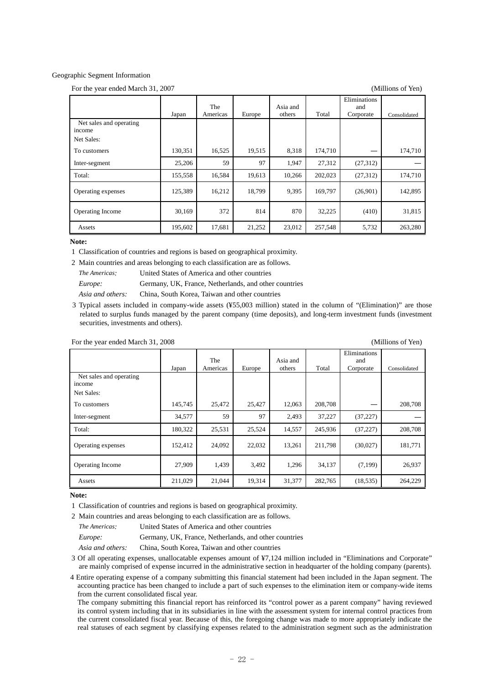#### Geographic Segment Information

For the year ended March 31, 2007 (Millions of Yen)

|                                   |         |                 |        |                    |         | Eliminations     |              |
|-----------------------------------|---------|-----------------|--------|--------------------|---------|------------------|--------------|
|                                   | Japan   | The<br>Americas | Europe | Asia and<br>others | Total   | and<br>Corporate | Consolidated |
| Net sales and operating<br>income |         |                 |        |                    |         |                  |              |
| Net Sales:                        |         |                 |        |                    |         |                  |              |
| To customers                      | 130,351 | 16,525          | 19,515 | 8,318              | 174,710 |                  | 174,710      |
| Inter-segment                     | 25,206  | 59              | 97     | 1,947              | 27,312  | (27, 312)        |              |
| Total:                            | 155,558 | 16,584          | 19.613 | 10,266             | 202,023 | (27, 312)        | 174,710      |
| Operating expenses                | 125,389 | 16,212          | 18,799 | 9,395              | 169.797 | (26,901)         | 142,895      |
| <b>Operating Income</b>           | 30,169  | 372             | 814    | 870                | 32,225  | (410)            | 31,815       |
| Assets                            | 195,602 | 17,681          | 21,252 | 23,012             | 257,548 | 5,732            | 263,280      |

#### **Note:**

1 Classification of countries and regions is based on geographical proximity.

2 Main countries and areas belonging to each classification are as follows.

*The Americas:* United States of America and other countries

*Europe:* Germany, UK, France, Netherlands, and other countries

*Asia and others:* China, South Korea, Taiwan and other countries

3 Typical assets included in company-wide assets (¥55,003 million) stated in the column of "(Elimination)" are those related to surplus funds managed by the parent company (time deposits), and long-term investment funds (investment securities, investments and others).

For the year ended March 31, 2008 (Millions of Yen)

|                                   | Japan   | The<br>Americas | Europe | Asia and<br>others | Total   | Eliminations<br>and<br>Corporate | Consolidated |
|-----------------------------------|---------|-----------------|--------|--------------------|---------|----------------------------------|--------------|
| Net sales and operating<br>income |         |                 |        |                    |         |                                  |              |
| Net Sales:                        |         |                 |        |                    |         |                                  |              |
| To customers                      | 145,745 | 25,472          | 25,427 | 12,063             | 208,708 |                                  | 208,708      |
| Inter-segment                     | 34,577  | 59              | 97     | 2,493              | 37,227  | (37, 227)                        |              |
| Total:                            | 180,322 | 25,531          | 25,524 | 14,557             | 245,936 | (37, 227)                        | 208,708      |
| Operating expenses                | 152,412 | 24,092          | 22,032 | 13,261             | 211,798 | (30,027)                         | 181,771      |
| <b>Operating Income</b>           | 27,909  | 1,439           | 3,492  | 1,296              | 34,137  | (7,199)                          | 26,937       |
| Assets                            | 211,029 | 21,044          | 19,314 | 31,377             | 282,765 | (18, 535)                        | 264,229      |

#### **Note:**

1 Classification of countries and regions is based on geographical proximity.

2 Main countries and areas belonging to each classification are as follows.

| The Americas: | United States of America and other countries          |
|---------------|-------------------------------------------------------|
| Europe:       | Germany, UK, France, Netherlands, and other countries |

*Asia and others:* China, South Korea, Taiwan and other countries

3 Of all operating expenses, unallocatable expenses amount of ¥7,124 million included in "Eliminations and Corporate" are mainly comprised of expense incurred in the administrative section in headquarter of the holding company (parents).

4 Entire operating expense of a company submitting this financial statement had been included in the Japan segment. The accounting practice has been changed to include a part of such expenses to the elimination item or company-wide items from the current consolidated fiscal year.

The company submitting this financial report has reinforced its "control power as a parent company" having reviewed its control system including that in its subsidiaries in line with the assessment system for internal control practices from the current consolidated fiscal year. Because of this, the foregoing change was made to more appropriately indicate the real statuses of each segment by classifying expenses related to the administration segment such as the administration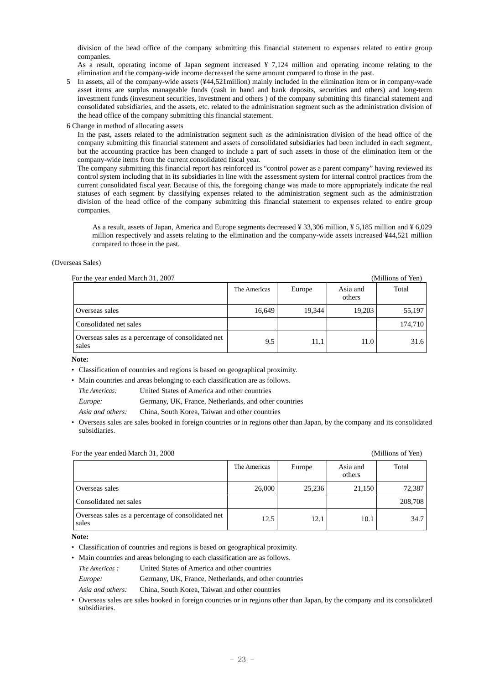division of the head office of the company submitting this financial statement to expenses related to entire group companies.

As a result, operating income of Japan segment increased ¥ 7,124 million and operating income relating to the elimination and the company-wide income decreased the same amount compared to those in the past.

5 In assets, all of the company-wide assets (¥44,521million) mainly included in the elimination item or in company-wade asset items are surplus manageable funds (cash in hand and bank deposits, securities and others) and long-term investment funds (investment securities, investment and others ) of the company submitting this financial statement and consolidated subsidiaries, and the assets, etc. related to the administration segment such as the administration division of the head office of the company submitting this financial statement.

6 Change in method of allocating assets

 In the past, assets related to the administration segment such as the administration division of the head office of the company submitting this financial statement and assets of consolidated subsidiaries had been included in each segment, but the accounting practice has been changed to include a part of such assets in those of the elimination item or the company-wide items from the current consolidated fiscal year.

The company submitting this financial report has reinforced its "control power as a parent company" having reviewed its control system including that in its subsidiaries in line with the assessment system for internal control practices from the current consolidated fiscal year. Because of this, the foregoing change was made to more appropriately indicate the real statuses of each segment by classifying expenses related to the administration segment such as the administration division of the head office of the company submitting this financial statement to expenses related to entire group companies.

 As a result, assets of Japan, America and Europe segments decreased ¥ 33,306 million, ¥ 5,185 million and ¥ 6,029 million respectively and assets relating to the elimination and the company-wide assets increased ¥44,521 million compared to those in the past.

#### (Overseas Sales)

| For the year ended March 31, 2007<br>(Millions of Yen)      |              |        |                    |         |  |
|-------------------------------------------------------------|--------------|--------|--------------------|---------|--|
|                                                             | The Americas | Europe | Asia and<br>others | Total   |  |
| Overseas sales                                              | 16.649       | 19.344 | 19.203             | 55,197  |  |
| Consolidated net sales                                      |              |        |                    | 174,710 |  |
| Overseas sales as a percentage of consolidated net<br>sales | 9.5          | 11.1   | 11.0               | 31.6    |  |

**Note:** 

• Classification of countries and regions is based on geographical proximity.

• Main countries and areas belonging to each classification are as follows.

*The Americas:* United States of America and other countries

*Europe:* Germany, UK, France, Netherlands, and other countries

*Asia and others:* China, South Korea, Taiwan and other countries

• Overseas sales are sales booked in foreign countries or in regions other than Japan, by the company and its consolidated subsidiaries.

## For the year ended March 31, 2008 (Millions of Yen)

|                                                             | The Americas | Europe | Asia and<br>others | Total   |
|-------------------------------------------------------------|--------------|--------|--------------------|---------|
| Overseas sales                                              | 26,000       | 25,236 | 21,150             | 72,387  |
| Consolidated net sales                                      |              |        |                    | 208,708 |
| Overseas sales as a percentage of consolidated net<br>sales | 12.5         | 12.1   | 10.1               | 34.7    |

**Note:** 

- Classification of countries and regions is based on geographical proximity.
- Main countries and areas belonging to each classification are as follows.
- *The Americas :* United States of America and other countries
- *Europe:* Germany, UK, France, Netherlands, and other countries
- *Asia and others:* China, South Korea, Taiwan and other countries
- Overseas sales are sales booked in foreign countries or in regions other than Japan, by the company and its consolidated subsidiaries.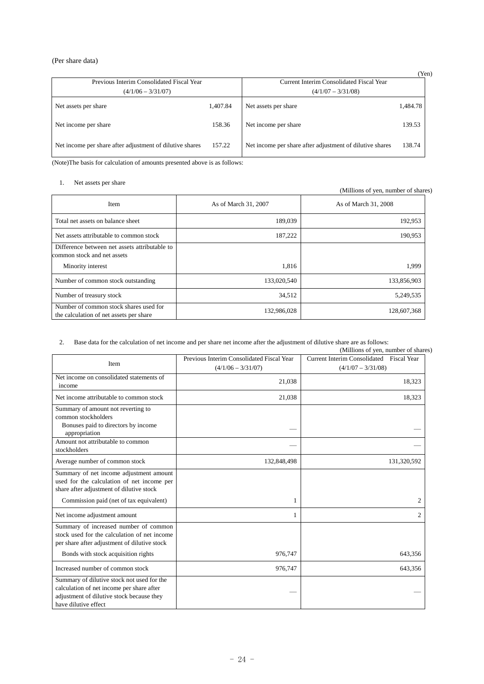# (Per share data)

|                                                          |          |                                                          | (Yen)    |
|----------------------------------------------------------|----------|----------------------------------------------------------|----------|
| Previous Interim Consolidated Fiscal Year                |          | Current Interim Consolidated Fiscal Year                 |          |
| $(4/1/06 - 3/31/07)$                                     |          | $(4/1/07 - 3/31/08)$                                     |          |
| Net assets per share                                     | 1.407.84 | Net assets per share                                     | 1,484.78 |
| Net income per share                                     | 158.36   | Net income per share                                     | 139.53   |
| Net income per share after adjustment of dilutive shares | 157.22   | Net income per share after adjustment of dilutive shares | 138.74   |

(Note)The basis for calculation of amounts presented above is as follows:

1. Net assets per share

(Millions of yen, number of shares)

| Item                                                                              | As of March 31, 2007 | As of March 31, 2008 |
|-----------------------------------------------------------------------------------|----------------------|----------------------|
| Total net assets on balance sheet                                                 | 189,039              | 192,953              |
| Net assets attributable to common stock                                           | 187,222              | 190,953              |
| Difference between net assets attributable to<br>common stock and net assets      |                      |                      |
| Minority interest                                                                 | 1.816                | 1,999                |
| Number of common stock outstanding                                                | 133,020,540          | 133,856,903          |
| Number of treasury stock                                                          | 34,512               | 5,249,535            |
| Number of common stock shares used for<br>the calculation of net assets per share | 132,986,028          | 128,607,368          |

2. Base data for the calculation of net income and per share net income after the adjustment of dilutive share are as follows:

| $\overline{2}$ .                                                                                                                                                      | Base data for the calculation of net income and per share net income after the adjustment of dilutive share are as follows: | (Millions of yen, number of shares)                              |
|-----------------------------------------------------------------------------------------------------------------------------------------------------------------------|-----------------------------------------------------------------------------------------------------------------------------|------------------------------------------------------------------|
| Item                                                                                                                                                                  | Previous Interim Consolidated Fiscal Year<br>$(4/1/06 - 3/31/07)$                                                           | Current Interim Consolidated Fiscal Year<br>$(4/1/07 - 3/31/08)$ |
| Net income on consolidated statements of<br>income                                                                                                                    | 21,038                                                                                                                      | 18,323                                                           |
| Net income attributable to common stock                                                                                                                               | 21,038                                                                                                                      | 18,323                                                           |
| Summary of amount not reverting to<br>common stockholders<br>Bonuses paid to directors by income<br>appropriation                                                     |                                                                                                                             |                                                                  |
| Amount not attributable to common<br>stockholders                                                                                                                     |                                                                                                                             |                                                                  |
| Average number of common stock                                                                                                                                        | 132,848,498                                                                                                                 | 131,320,592                                                      |
| Summary of net income adjustment amount<br>used for the calculation of net income per<br>share after adjustment of dilutive stock                                     | 1                                                                                                                           | 2                                                                |
| Commission paid (net of tax equivalent)                                                                                                                               | 1                                                                                                                           | 2                                                                |
| Net income adjustment amount<br>Summary of increased number of common<br>stock used for the calculation of net income<br>per share after adjustment of dilutive stock |                                                                                                                             |                                                                  |
| Bonds with stock acquisition rights                                                                                                                                   | 976,747                                                                                                                     | 643,356                                                          |
| Increased number of common stock                                                                                                                                      | 976,747                                                                                                                     | 643,356                                                          |
| Summary of dilutive stock not used for the<br>calculation of net income per share after<br>adjustment of dilutive stock because they<br>have dilutive effect          |                                                                                                                             |                                                                  |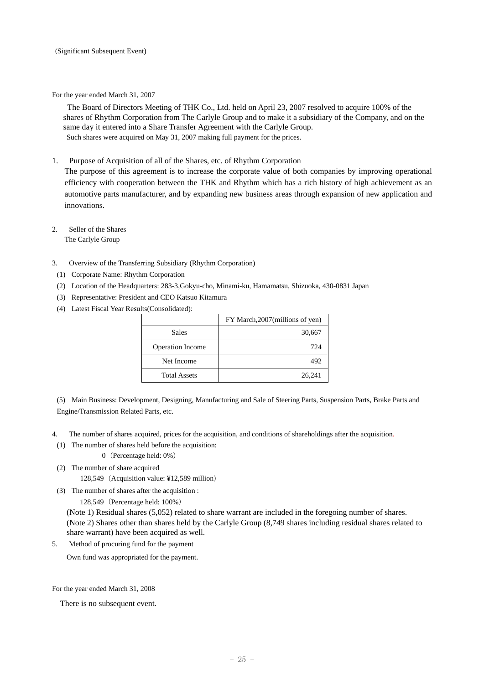For the year ended March 31, 2007

The Board of Directors Meeting of THK Co., Ltd. held on April 23, 2007 resolved to acquire 100% of the shares of Rhythm Corporation from The Carlyle Group and to make it a subsidiary of the Company, and on the same day it entered into a Share Transfer Agreement with the Carlyle Group. Such shares were acquired on May 31, 2007 making full payment for the prices.

1. Purpose of Acquisition of all of the Shares, etc. of Rhythm Corporation

The purpose of this agreement is to increase the corporate value of both companies by improving operational efficiency with cooperation between the THK and Rhythm which has a rich history of high achievement as an automotive parts manufacturer, and by expanding new business areas through expansion of new application and innovations.

- 2. Seller of the Shares The Carlyle Group
- 3. Overview of the Transferring Subsidiary (Rhythm Corporation)
- (1) Corporate Name: Rhythm Corporation
- (2) Location of the Headquarters: 283-3,Gokyu-cho, Minami-ku, Hamamatsu, Shizuoka, 430-0831 Japan
- (3) Representative: President and CEO Katsuo Kitamura
- (4) Latest Fiscal Year Results(Consolidated):

|                     | FY March, 2007 (millions of yen) |
|---------------------|----------------------------------|
| <b>Sales</b>        | 30,667                           |
| Operation Income    | 724                              |
| Net Income          | 492                              |
| <b>Total Assets</b> | 26,241                           |

(5) Main Business: Development, Designing, Manufacturing and Sale of Steering Parts, Suspension Parts, Brake Parts and Engine/Transmission Related Parts, etc.

4. The number of shares acquired, prices for the acquisition, and conditions of shareholdings after the acquisition.

(1) The number of shares held before the acquisition:

0(Percentage held: 0%)

(2) The number of share acquired

128,549(Acquisition value: ¥12,589 million)

(3) The number of shares after the acquisition :

128,549(Percentage held: 100%)

(Note 1) Residual shares (5,052) related to share warrant are included in the foregoing number of shares. (Note 2) Shares other than shares held by the Carlyle Group (8,749 shares including residual shares related to share warrant) have been acquired as well.

5. Method of procuring fund for the payment

Own fund was appropriated for the payment.

For the year ended March 31, 2008

There is no subsequent event.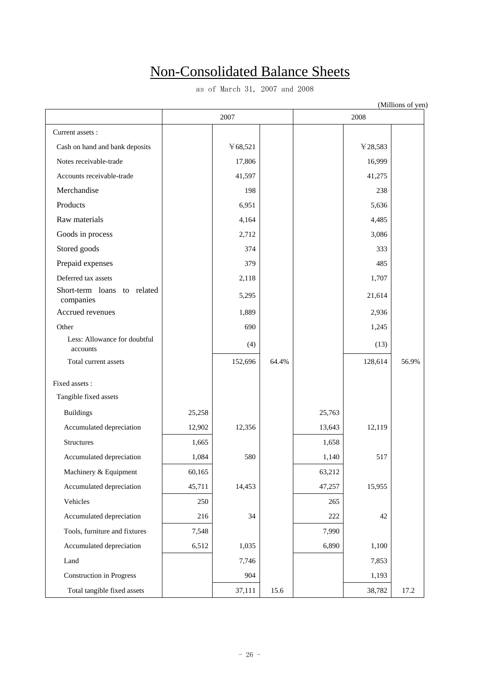# Non-Consolidated Balance Sheets

as of March 31, 2007 and 2008

| (Millions of yen)                           |        |         |       |        |         |       |  |
|---------------------------------------------|--------|---------|-------|--------|---------|-------|--|
|                                             |        | 2007    |       |        | 2008    |       |  |
| Current assets:                             |        |         |       |        |         |       |  |
| Cash on hand and bank deposits              |        | ¥68,521 |       |        | ¥28,583 |       |  |
| Notes receivable-trade                      |        | 17,806  |       |        | 16,999  |       |  |
| Accounts receivable-trade                   |        | 41,597  |       |        | 41,275  |       |  |
| Merchandise                                 |        | 198     |       |        | 238     |       |  |
| Products                                    |        | 6,951   |       |        | 5,636   |       |  |
| Raw materials                               |        | 4,164   |       |        | 4,485   |       |  |
| Goods in process                            |        | 2,712   |       |        | 3,086   |       |  |
| Stored goods                                |        | 374     |       |        | 333     |       |  |
| Prepaid expenses                            |        | 379     |       |        | 485     |       |  |
| Deferred tax assets                         |        | 2,118   |       |        | 1,707   |       |  |
| to related<br>Short-term loans<br>companies |        | 5,295   |       |        | 21,614  |       |  |
| Accrued revenues                            |        | 1,889   |       |        | 2,936   |       |  |
| Other                                       |        | 690     |       |        | 1,245   |       |  |
| Less: Allowance for doubtful<br>accounts    |        | (4)     |       |        | (13)    |       |  |
| Total current assets                        |        | 152,696 | 64.4% |        | 128,614 | 56.9% |  |
| Fixed assets :                              |        |         |       |        |         |       |  |
| Tangible fixed assets                       |        |         |       |        |         |       |  |
| <b>Buildings</b>                            | 25,258 |         |       | 25,763 |         |       |  |
| Accumulated depreciation                    | 12,902 | 12,356  |       | 13,643 | 12,119  |       |  |
| Structures                                  | 1,665  |         |       | 1,658  |         |       |  |
| Accumulated depreciation                    | 1,084  | 580     |       | 1,140  | 517     |       |  |
| Machinery & Equipment                       | 60,165 |         |       | 63,212 |         |       |  |
| Accumulated depreciation                    | 45,711 | 14,453  |       | 47,257 | 15,955  |       |  |
| Vehicles                                    | 250    |         |       | 265    |         |       |  |
| Accumulated depreciation                    | 216    | 34      |       | 222    | 42      |       |  |
| Tools, furniture and fixtures               | 7,548  |         |       | 7,990  |         |       |  |
| Accumulated depreciation                    | 6,512  | 1,035   |       | 6,890  | 1,100   |       |  |
| Land                                        |        | 7,746   |       |        | 7,853   |       |  |
| <b>Construction</b> in Progress             |        | 904     |       |        | 1,193   |       |  |
| Total tangible fixed assets                 |        | 37,111  | 15.6  |        | 38,782  | 17.2  |  |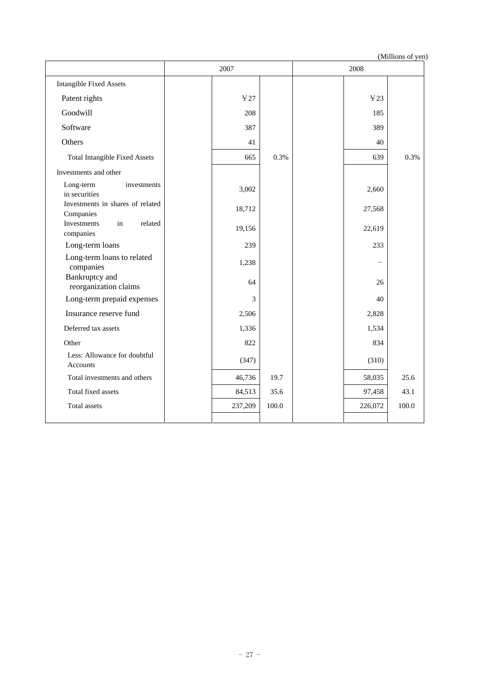|                                               | 2007    |       | 2008         |       |
|-----------------------------------------------|---------|-------|--------------|-------|
| <b>Intangible Fixed Assets</b>                |         |       |              |       |
| Patent rights                                 | ¥27     |       | $\text{Y}23$ |       |
| Goodwill                                      | 208     |       | 185          |       |
| Software                                      | 387     |       | 389          |       |
| Others                                        | 41      |       | 40           |       |
| <b>Total Intangible Fixed Assets</b>          | 665     | 0.3%  | 639          | 0.3%  |
| Investments and other                         |         |       |              |       |
| Long-term<br>investments<br>in securities     | 3,002   |       | 2,660        |       |
| Investments in shares of related<br>Companies | 18,712  |       | 27,568       |       |
| Investments<br>related<br>in<br>companies     | 19,156  |       | 22,619       |       |
| Long-term loans                               | 239     |       | 233          |       |
| Long-term loans to related<br>companies       | 1,238   |       |              |       |
| Bankruptcy and<br>reorganization claims       | 64      |       | 26           |       |
| Long-term prepaid expenses                    | 3       |       | 40           |       |
| Insurance reserve fund                        | 2,506   |       | 2,828        |       |
| Deferred tax assets                           | 1,336   |       | 1,534        |       |
| Other                                         | 822     |       | 834          |       |
| Less: Allowance for doubtful<br>Accounts      | (347)   |       | (310)        |       |
| Total investments and others                  | 46,736  | 19.7  | 58,035       | 25.6  |
| Total fixed assets                            | 84,513  | 35.6  | 97,458       | 43.1  |
| Total assets                                  | 237,209 | 100.0 | 226,072      | 100.0 |
|                                               |         |       |              |       |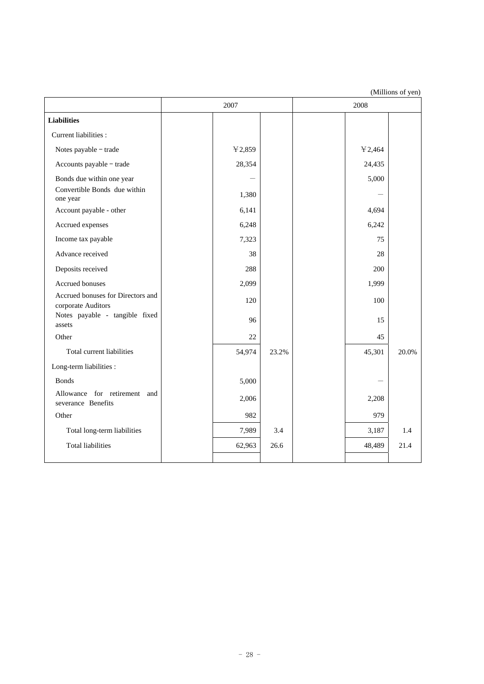|                                                         | 2007   |       | 2008 |         |       |
|---------------------------------------------------------|--------|-------|------|---------|-------|
| <b>Liabilities</b>                                      |        |       |      |         |       |
| Current liabilities :                                   |        |       |      |         |       |
| Notes payable - trade                                   | 42,859 |       |      | ¥ 2,464 |       |
| Accounts payable - trade                                | 28,354 |       |      | 24,435  |       |
| Bonds due within one year                               |        |       |      | 5,000   |       |
| Convertible Bonds due within<br>one year                | 1,380  |       |      |         |       |
| Account payable - other                                 | 6,141  |       |      | 4,694   |       |
| Accrued expenses                                        | 6,248  |       |      | 6,242   |       |
| Income tax payable                                      | 7,323  |       |      | 75      |       |
| Advance received                                        | 38     |       |      | 28      |       |
| Deposits received                                       | 288    |       |      | 200     |       |
| Accrued bonuses                                         | 2,099  |       |      | 1,999   |       |
| Accrued bonuses for Directors and<br>corporate Auditors | 120    |       |      | 100     |       |
| Notes payable - tangible fixed<br>assets                | 96     |       |      | 15      |       |
| Other                                                   | 22     |       |      | 45      |       |
| Total current liabilities                               | 54,974 | 23.2% |      | 45,301  | 20.0% |
| Long-term liabilities :                                 |        |       |      |         |       |
| <b>Bonds</b>                                            | 5,000  |       |      |         |       |
| Allowance for retirement and<br>severance Benefits      | 2,006  |       |      | 2,208   |       |
| Other                                                   | 982    |       |      | 979     |       |
| Total long-term liabilities                             | 7,989  | 3.4   |      | 3,187   | 1.4   |
| <b>Total liabilities</b>                                | 62,963 | 26.6  |      | 48,489  | 21.4  |
|                                                         |        |       |      |         |       |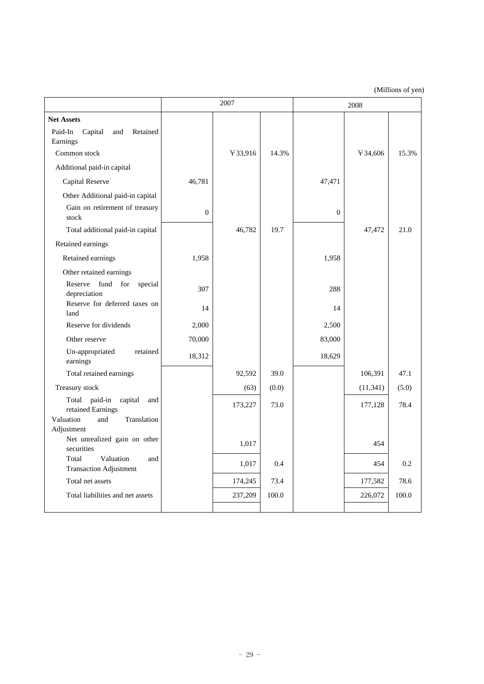|                                                            | 2007           |         | 2008  |          |           |       |
|------------------------------------------------------------|----------------|---------|-------|----------|-----------|-------|
| <b>Net Assets</b>                                          |                |         |       |          |           |       |
| Paid-In<br>Capital<br>Retained<br>and<br>Earnings          |                |         |       |          |           |       |
| Common stock                                               |                | ¥33,916 | 14.3% |          | ¥ 34,606  | 15.3% |
| Additional paid-in capital                                 |                |         |       |          |           |       |
| Capital Reserve                                            | 46,781         |         |       | 47,471   |           |       |
| Other Additional paid-in capital                           |                |         |       |          |           |       |
| Gain on retirement of treasury<br>stock                    | $\overline{0}$ |         |       | $\theta$ |           |       |
| Total additional paid-in capital                           |                | 46,782  | 19.7  |          | 47,472    | 21.0  |
| Retained earnings                                          |                |         |       |          |           |       |
| Retained earnings                                          | 1,958          |         |       | 1,958    |           |       |
| Other retained earnings                                    |                |         |       |          |           |       |
| fund for<br>Reserve<br>special<br>depreciation             | 307            |         |       | 288      |           |       |
| Reserve for deferred taxes on<br>land                      | 14             |         |       | 14       |           |       |
| Reserve for dividends                                      | 2,000          |         |       | 2,500    |           |       |
| Other reserve                                              | 70,000         |         |       | 83,000   |           |       |
| Un-appropriated<br>retained<br>earnings                    | 18,312         |         |       | 18,629   |           |       |
| Total retained earnings                                    |                | 92,592  | 39.0  |          | 106,391   | 47.1  |
| Treasury stock                                             |                | (63)    | (0.0) |          | (11, 341) | (5.0) |
| paid-in<br>capital<br>Total<br>and<br>retained Earnings    |                | 173,227 | 73.0  |          | 177,128   | 78.4  |
| Valuation<br>and<br>Translation                            |                |         |       |          |           |       |
| Adjustment<br>Net unrealized gain on other                 |                |         |       |          |           |       |
| securities                                                 |                | 1,017   |       |          | 454       |       |
| Valuation<br>Total<br>and<br><b>Transaction Adjustment</b> |                | 1,017   | 0.4   |          | 454       | 0.2   |
| Total net assets                                           |                | 174,245 | 73.4  |          | 177,582   | 78.6  |
| Total liabilities and net assets                           |                | 237,209 | 100.0 |          | 226,072   | 100.0 |
|                                                            |                |         |       |          |           |       |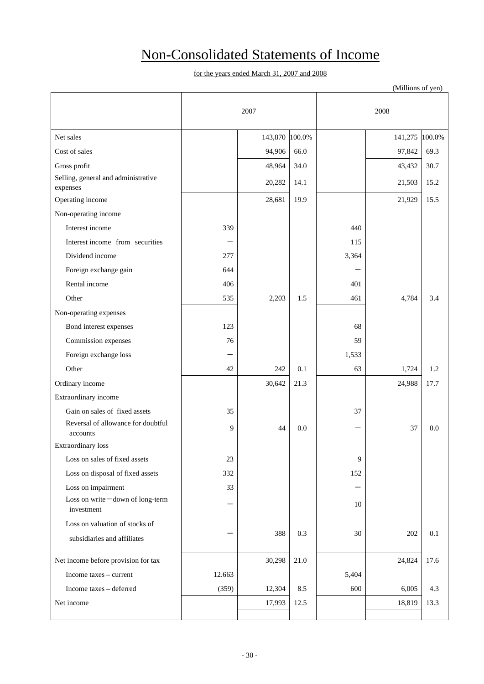# Non-Consolidated Statements of Income

|                                                |        |                |      |       | (Millions of yen) |        |
|------------------------------------------------|--------|----------------|------|-------|-------------------|--------|
|                                                |        | 2007           |      |       | 2008              |        |
| Net sales                                      |        | 143,870 100.0% |      |       | 141,275           | 100.0% |
| Cost of sales                                  |        | 94,906         | 66.0 |       | 97,842            | 69.3   |
| Gross profit                                   |        | 48,964         | 34.0 |       | 43,432            | 30.7   |
| Selling, general and administrative            |        | 20,282         | 14.1 |       | 21,503            | 15.2   |
| expenses                                       |        |                |      |       |                   |        |
| Operating income                               |        | 28,681         | 19.9 |       | 21,929            | 15.5   |
| Non-operating income                           |        |                |      |       |                   |        |
| Interest income                                | 339    |                |      | 440   |                   |        |
| Interest income from securities                |        |                |      | 115   |                   |        |
| Dividend income                                | 277    |                |      | 3,364 |                   |        |
| Foreign exchange gain                          | 644    |                |      |       |                   |        |
| Rental income                                  | 406    |                |      | 401   |                   |        |
| Other                                          | 535    | 2,203          | 1.5  | 461   | 4,784             | 3.4    |
| Non-operating expenses                         |        |                |      |       |                   |        |
| Bond interest expenses                         | 123    |                |      | 68    |                   |        |
| Commission expenses                            | 76     |                |      | 59    |                   |        |
| Foreign exchange loss                          |        |                |      | 1,533 |                   |        |
| Other                                          | 42     | 242            | 0.1  | 63    | 1,724             | 1.2    |
| Ordinary income                                |        | 30,642         | 21.3 |       | 24,988            | 17.7   |
| Extraordinary income                           |        |                |      |       |                   |        |
| Gain on sales of fixed assets                  | 35     |                |      | 37    |                   |        |
| Reversal of allowance for doubtful<br>accounts | 9      | 44             | 0.0  |       | 37                | 0.0    |
| Extraordinary loss                             |        |                |      |       |                   |        |
| Loss on sales of fixed assets                  | 23     |                |      | 9     |                   |        |
| Loss on disposal of fixed assets               | 332    |                |      | 152   |                   |        |
| Loss on impairment                             | 33     |                |      |       |                   |        |
| Loss on write-down of long-term<br>investment  |        |                |      | 10    |                   |        |
| Loss on valuation of stocks of                 |        |                |      |       |                   |        |
| subsidiaries and affiliates                    |        | 388            | 0.3  | 30    | 202               | 0.1    |
| Net income before provision for tax            |        | 30,298         | 21.0 |       | 24,824            | 17.6   |
| Income taxes - current                         | 12.663 |                |      | 5,404 |                   |        |
| Income taxes - deferred                        | (359)  | 12,304         | 8.5  | 600   | 6,005             | 4.3    |
| Net income                                     |        | 17,993         | 12.5 |       | 18,819            | 13.3   |
|                                                |        |                |      |       |                   |        |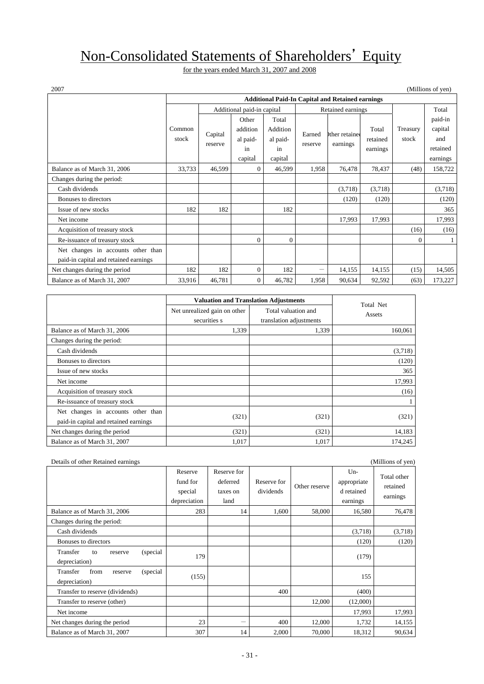# Non-Consolidated Statements of Shareholders' Equity

for the years ended March 31, 2007 and 2008

|                                       |        | <b>Additional Paid-In Capital and Retained earnings</b> |              |          |                          |               |          |          |          |
|---------------------------------------|--------|---------------------------------------------------------|--------------|----------|--------------------------|---------------|----------|----------|----------|
|                                       |        | Additional paid-in capital<br>Retained earnings         |              |          |                          |               |          |          | Total    |
|                                       |        |                                                         | Other        | Total    |                          |               |          |          | paid-in  |
|                                       | Common | Capital                                                 | addition     | Addition | Earned                   | Ither retaine | Total    | Treasury | capital  |
|                                       | stock  | reserve                                                 | al paid-     | al paid- | reserve                  | earnings      | retained | stock    | and      |
|                                       |        |                                                         | in           | in       |                          |               | earnings |          | retained |
|                                       |        |                                                         | capital      | capital  |                          |               |          |          | earnings |
| Balance as of March 31, 2006          | 33,733 | 46,599                                                  | $\Omega$     | 46,599   | 1,958                    | 76,478        | 78,437   | (48)     | 158,722  |
| Changes during the period:            |        |                                                         |              |          |                          |               |          |          |          |
| Cash dividends                        |        |                                                         |              |          |                          | (3,718)       | (3,718)  |          | (3,718)  |
| Bonuses to directors                  |        |                                                         |              |          |                          | (120)         | (120)    |          | (120)    |
| Issue of new stocks                   | 182    | 182                                                     |              | 182      |                          |               |          |          | 365      |
| Net income                            |        |                                                         |              |          |                          | 17,993        | 17,993   |          | 17,993   |
| Acquisition of treasury stock         |        |                                                         |              |          |                          |               |          | (16)     | (16)     |
| Re-issuance of treasury stock         |        |                                                         | $\Omega$     | $\Omega$ |                          |               |          | $\Omega$ |          |
| Net changes in accounts other than    |        |                                                         |              |          |                          |               |          |          |          |
| paid-in capital and retained earnings |        |                                                         |              |          |                          |               |          |          |          |
| Net changes during the period         | 182    | 182                                                     | $\mathbf{0}$ | 182      | $\overline{\phantom{0}}$ | 14,155        | 14,155   | (15)     | 14,505   |
| Balance as of March 31, 2007          | 33,916 | 46,781                                                  | $\mathbf{0}$ | 46,782   | 1,958                    | 90,634        | 92,592   | (63)     | 173,227  |

|                                                                             | <b>Valuation and Translation Adjustments</b> |                                                | Total Net |
|-----------------------------------------------------------------------------|----------------------------------------------|------------------------------------------------|-----------|
|                                                                             | Net unrealized gain on other<br>securities s | Total valuation and<br>translation adjustments | Assets    |
| Balance as of March 31, 2006                                                | 1,339                                        | 1,339                                          | 160,061   |
| Changes during the period:                                                  |                                              |                                                |           |
| Cash dividends                                                              |                                              |                                                | (3,718)   |
| Bonuses to directors                                                        |                                              |                                                | (120)     |
| Issue of new stocks                                                         |                                              |                                                | 365       |
| Net income                                                                  |                                              |                                                | 17,993    |
| Acquisition of treasury stock                                               |                                              |                                                | (16)      |
| Re-issuance of treasury stock                                               |                                              |                                                |           |
| Net changes in accounts other than<br>paid-in capital and retained earnings | (321)                                        | (321)                                          | (321)     |
| Net changes during the period                                               | (321)                                        | (321)                                          | 14,183    |
| Balance as of March 31, 2007                                                | 1,017                                        | 1,017                                          | 174,245   |

| Details of other Retained earnings                        |                                                |                                             |                          |               |                                                | (Millions of yen)                   |
|-----------------------------------------------------------|------------------------------------------------|---------------------------------------------|--------------------------|---------------|------------------------------------------------|-------------------------------------|
|                                                           | Reserve<br>fund for<br>special<br>depreciation | Reserve for<br>deferred<br>taxes on<br>land | Reserve for<br>dividends | Other reserve | $Un-$<br>appropriate<br>d retained<br>earnings | Total other<br>retained<br>earnings |
| Balance as of March 31, 2006                              | 283                                            | 14                                          | 1,600                    | 58,000        | 16,580                                         | 76,478                              |
| Changes during the period:                                |                                                |                                             |                          |               |                                                |                                     |
| Cash dividends                                            |                                                |                                             |                          |               | (3,718)                                        | (3,718)                             |
| Bonuses to directors                                      |                                                |                                             |                          |               | (120)                                          | (120)                               |
| Transfer<br>(special)<br>to<br>reserve<br>depreciation)   | 179                                            |                                             |                          |               | (179)                                          |                                     |
| Transfer<br>from<br>(special)<br>reserve<br>depreciation) | (155)                                          |                                             |                          |               | 155                                            |                                     |
| Transfer to reserve (dividends)                           |                                                |                                             | 400                      |               | (400)                                          |                                     |
| Transfer to reserve (other)                               |                                                |                                             |                          | 12,000        | (12,000)                                       |                                     |
| Net income                                                |                                                |                                             |                          |               | 17,993                                         | 17,993                              |
| Net changes during the period                             | 23                                             | —                                           | 400                      | 12,000        | 1,732                                          | 14,155                              |
| Balance as of March 31, 2007                              | 307                                            | 14                                          | 2,000                    | 70,000        | 18,312                                         | 90,634                              |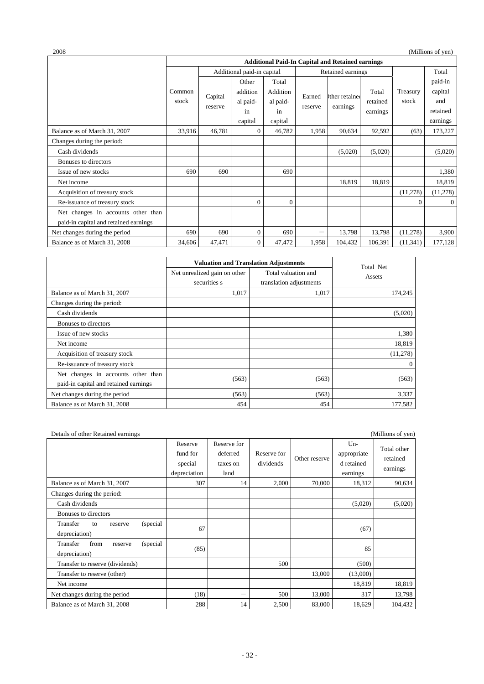| 2008                                  |        |                                                         |                            |                |         |                   |          |              | (Millions of yen) |
|---------------------------------------|--------|---------------------------------------------------------|----------------------------|----------------|---------|-------------------|----------|--------------|-------------------|
|                                       |        | <b>Additional Paid-In Capital and Retained earnings</b> |                            |                |         |                   |          |              |                   |
|                                       |        |                                                         | Additional paid-in capital |                |         | Retained earnings |          |              | Total             |
|                                       |        |                                                         | Other                      | Total          |         |                   |          |              | paid-in           |
|                                       | Common | Capital                                                 | addition                   | Addition       | Earned  | ther retained     | Total    | Treasury     | capital           |
|                                       | stock  |                                                         | al paid-                   | al paid-       |         | earnings          | retained | stock        | and               |
|                                       |        | reserve                                                 | in                         | in             | reserve |                   | earnings |              | retained          |
|                                       |        |                                                         | capital                    | capital        |         |                   |          |              | earnings          |
| Balance as of March 31, 2007          | 33,916 | 46,781                                                  | $\Omega$                   | 46,782         | 1,958   | 90,634            | 92,592   | (63)         | 173,227           |
| Changes during the period:            |        |                                                         |                            |                |         |                   |          |              |                   |
| Cash dividends                        |        |                                                         |                            |                |         | (5,020)           | (5,020)  |              | (5,020)           |
| Bonuses to directors                  |        |                                                         |                            |                |         |                   |          |              |                   |
| Issue of new stocks                   | 690    | 690                                                     |                            | 690            |         |                   |          |              | 1,380             |
| Net income                            |        |                                                         |                            |                |         | 18,819            | 18,819   |              | 18,819            |
| Acquisition of treasury stock         |        |                                                         |                            |                |         |                   |          | (11, 278)    | (11,278)          |
| Re-issuance of treasury stock         |        |                                                         | $\mathbf{0}$               | $\overline{0}$ |         |                   |          | $\mathbf{0}$ | $\mathbf{0}$      |
| Net changes in accounts other than    |        |                                                         |                            |                |         |                   |          |              |                   |
| paid-in capital and retained earnings |        |                                                         |                            |                |         |                   |          |              |                   |
| Net changes during the period         | 690    | 690                                                     | $\mathbf{0}$               | 690            | -       | 13,798            | 13,798   | (11,278)     | 3,900             |
| Balance as of March 31, 2008          | 34,606 | 47,471                                                  | $\mathbf{0}$               | 47,472         | 1,958   | 104,432           | 106,391  | (11, 341)    | 177,128           |

|                                                                             | <b>Valuation and Translation Adjustments</b> |                                                | Total Net |
|-----------------------------------------------------------------------------|----------------------------------------------|------------------------------------------------|-----------|
|                                                                             | Net unrealized gain on other<br>securities s | Total valuation and<br>translation adjustments | Assets    |
| Balance as of March 31, 2007                                                | 1,017                                        | 1.017                                          | 174,245   |
| Changes during the period:                                                  |                                              |                                                |           |
| Cash dividends                                                              |                                              |                                                | (5,020)   |
| Bonuses to directors                                                        |                                              |                                                |           |
| Issue of new stocks                                                         |                                              |                                                | 1,380     |
| Net income                                                                  |                                              |                                                | 18,819    |
| Acquisition of treasury stock                                               |                                              |                                                | (11, 278) |
| Re-issuance of treasury stock                                               |                                              |                                                | $\theta$  |
| Net changes in accounts other than<br>paid-in capital and retained earnings | (563)                                        | (563)                                          | (563)     |
| Net changes during the period                                               | (563)                                        | (563)                                          | 3,337     |
| Balance as of March 31, 2008                                                | 454                                          | 454                                            | 177,582   |

| Details of other Retained earnings                        |                                                |                                             |                          |               |                                                | (Millions of yen)                   |
|-----------------------------------------------------------|------------------------------------------------|---------------------------------------------|--------------------------|---------------|------------------------------------------------|-------------------------------------|
|                                                           | Reserve<br>fund for<br>special<br>depreciation | Reserve for<br>deferred<br>taxes on<br>land | Reserve for<br>dividends | Other reserve | $Un-$<br>appropriate<br>d retained<br>earnings | Total other<br>retained<br>earnings |
| Balance as of March 31, 2007                              | 307                                            | 14                                          | 2,000                    | 70,000        | 18,312                                         | 90,634                              |
| Changes during the period:                                |                                                |                                             |                          |               |                                                |                                     |
| Cash dividends                                            |                                                |                                             |                          |               | (5,020)                                        | (5,020)                             |
| Bonuses to directors                                      |                                                |                                             |                          |               |                                                |                                     |
| Transfer<br>(special)<br>to<br>reserve<br>depreciation)   | 67                                             |                                             |                          |               | (67)                                           |                                     |
| from<br>Transfer<br>(special)<br>reserve<br>depreciation) | (85)                                           |                                             |                          |               | 85                                             |                                     |
| Transfer to reserve (dividends)                           |                                                |                                             | 500                      |               | (500)                                          |                                     |
| Transfer to reserve (other)                               |                                                |                                             |                          | 13,000        | (13,000)                                       |                                     |
| Net income                                                |                                                |                                             |                          |               | 18,819                                         | 18,819                              |
| Net changes during the period                             | (18)                                           |                                             | 500                      | 13,000        | 317                                            | 13,798                              |
| Balance as of March 31, 2008                              | 288                                            | 14                                          | 2,500                    | 83,000        | 18,629                                         | 104,432                             |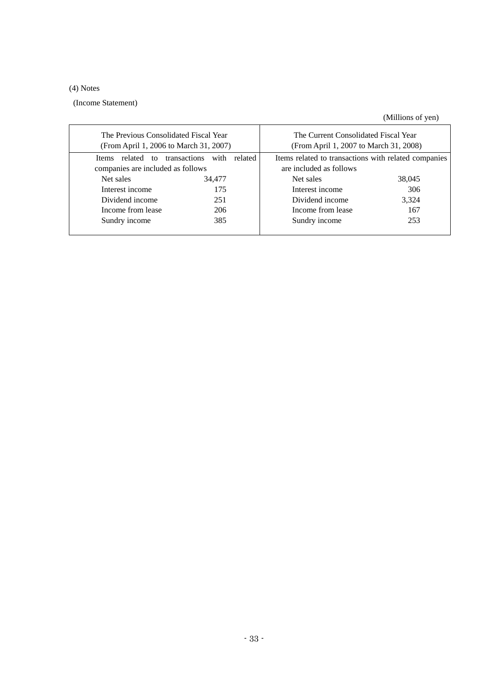# (4) Notes

(Income Statement)

| The Previous Consolidated Fiscal Year<br>(From April 1, 2006 to March 31, 2007) |                                 | The Current Consolidated Fiscal Year<br>(From April 1, 2007 to March 31, 2008)  |        |  |  |
|---------------------------------------------------------------------------------|---------------------------------|---------------------------------------------------------------------------------|--------|--|--|
| related to<br><b>Items</b><br>companies are included as follows                 | transactions<br>with<br>related | Items related to transactions with related companies<br>are included as follows |        |  |  |
| Net sales                                                                       | 34,477                          | Net sales                                                                       | 38,045 |  |  |
| Interest income                                                                 | 175                             | Interest income                                                                 | 306    |  |  |
| Dividend income                                                                 | 251                             | Dividend income                                                                 | 3,324  |  |  |
| Income from lease                                                               | 206                             | Income from lease                                                               | 167    |  |  |
| Sundry income                                                                   | 385                             | Sundry income                                                                   | 253    |  |  |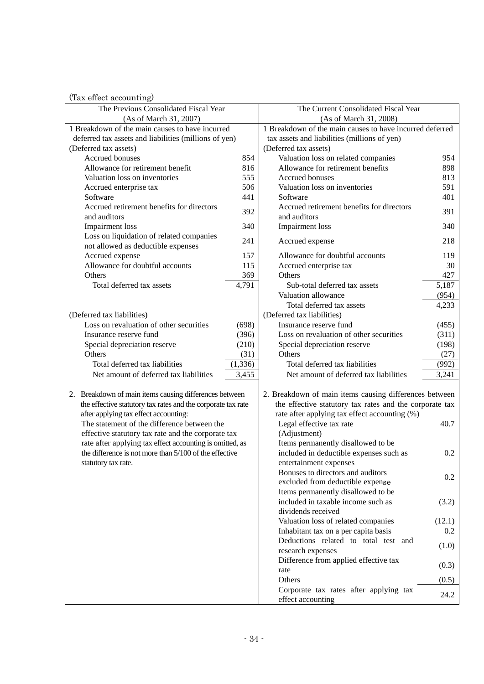| The Previous Consolidated Fiscal Year                        |          | The Current Consolidated Fiscal Year                        |        |
|--------------------------------------------------------------|----------|-------------------------------------------------------------|--------|
| (As of March 31, 2007)                                       |          | (As of March 31, 2008)                                      |        |
| 1 Breakdown of the main causes to have incurred              |          | 1 Breakdown of the main causes to have incurred deferred    |        |
| deferred tax assets and liabilities (millions of yen)        |          | tax assets and liabilities (millions of yen)                |        |
| (Deferred tax assets)                                        |          | (Deferred tax assets)                                       |        |
| Accrued bonuses                                              | 854      | Valuation loss on related companies                         | 954    |
| Allowance for retirement benefit                             | 816      | Allowance for retirement benefits                           | 898    |
| Valuation loss on inventories                                | 555      | Accrued bonuses                                             | 813    |
| Accrued enterprise tax                                       | 506      | Valuation loss on inventories                               | 591    |
| Software                                                     | 441      | Software                                                    | 401    |
| Accrued retirement benefits for directors<br>and auditors    | 392      | Accrued retirement benefits for directors<br>and auditors   | 391    |
| <b>Impairment</b> loss                                       | 340      | <b>Impairment</b> loss                                      | 340    |
| Loss on liquidation of related companies                     |          |                                                             |        |
| not allowed as deductible expenses                           | 241      | Accrued expense                                             | 218    |
| Accrued expense                                              | 157      | Allowance for doubtful accounts                             | 119    |
| Allowance for doubtful accounts                              | 115      | Accrued enterprise tax                                      | 30     |
| Others                                                       | 369      | Others                                                      | 427    |
| Total deferred tax assets                                    | 4,791    | Sub-total deferred tax assets                               | 5,187  |
|                                                              |          | Valuation allowance                                         | (954)  |
|                                                              |          | Total deferred tax assets                                   | 4,233  |
| (Deferred tax liabilities)                                   |          | (Deferred tax liabilities)                                  |        |
| Loss on revaluation of other securities                      | (698)    | Insurance reserve fund                                      | (455)  |
| Insurance reserve fund                                       | (396)    | Loss on revaluation of other securities                     | (311)  |
| Special depreciation reserve                                 | (210)    | Special depreciation reserve                                | (198)  |
| Others                                                       | (31)     | Others                                                      | (27)   |
| Total deferred tax liabilities                               | (1, 336) | Total deferred tax liabilities                              | (992)  |
| Net amount of deferred tax liabilities                       | 3,455    | Net amount of deferred tax liabilities                      | 3,241  |
| 2. Breakdown of main items causing differences between       |          | 2. Breakdown of main items causing differences between      |        |
| the effective statutory tax rates and the corporate tax rate |          | the effective statutory tax rates and the corporate tax     |        |
| after applying tax effect accounting:                        |          | rate after applying tax effect accounting (%)               |        |
| The statement of the difference between the                  |          | Legal effective tax rate                                    | 40.7   |
| effective statutory tax rate and the corporate tax           |          | (Adjustment)                                                |        |
| rate after applying tax effect accounting is omitted, as     |          | Items permanently disallowed to be                          |        |
| the difference is not more than 5/100 of the effective       |          | included in deductible expenses such as                     | 0.2    |
| statutory tax rate.                                          |          | entertainment expenses<br>Bonuses to directors and auditors |        |
|                                                              |          | excluded from deductible expense                            | 0.2    |
|                                                              |          | Items permanently disallowed to be                          |        |
|                                                              |          | included in taxable income such as                          | (3.2)  |
|                                                              |          | dividends received                                          |        |
|                                                              |          | Valuation loss of related companies                         | (12.1) |
|                                                              |          | Inhabitant tax on a per capita basis                        | 0.2    |
|                                                              |          | Deductions related to total test and                        |        |
|                                                              |          | research expenses                                           | (1.0)  |
|                                                              |          | Difference from applied effective tax                       | (0.3)  |
|                                                              |          | rate                                                        |        |
|                                                              |          | Others                                                      | (0.5)  |
|                                                              |          | Corporate tax rates after applying tax                      | 24.2   |
|                                                              |          | effect accounting                                           |        |